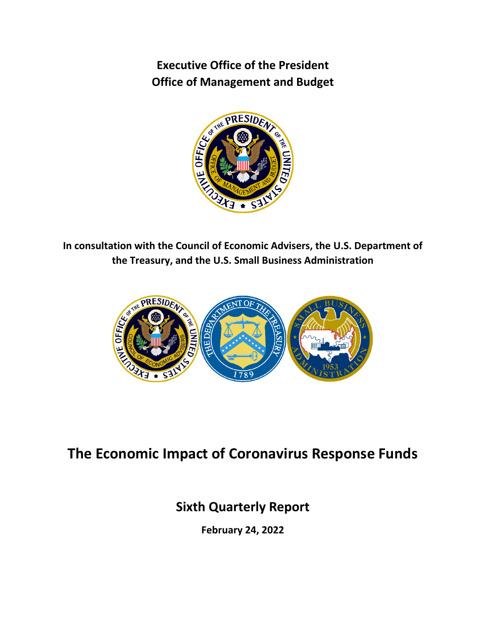**Executive Office of the President Office of Management and Budget**



**In consultation with the Council of Economic Advisers, the U.S. Department of the Treasury, and the U.S. Small Business Administration**



# **The Economic Impact of Coronavirus Response Funds**

# **Sixth Quarterly Report**

**February 24, 2022**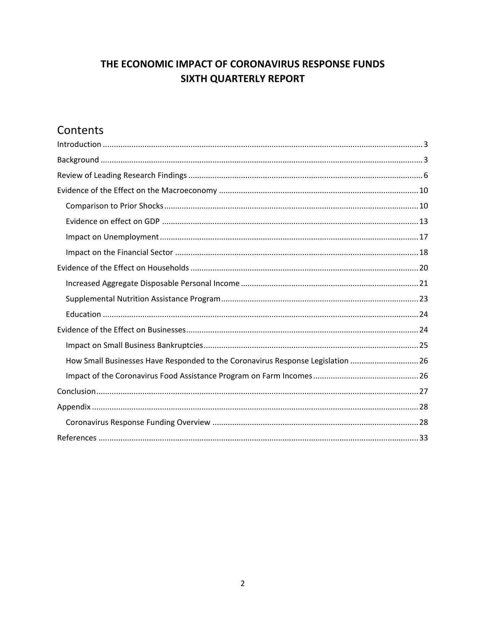# THE ECONOMIC IMPACT OF CORONAVIRUS RESPONSE FUNDS **SIXTH QUARTERLY REPORT**

# Contents

| How Small Businesses Have Responded to the Coronavirus Response Legislation  26 |
|---------------------------------------------------------------------------------|
|                                                                                 |
|                                                                                 |
|                                                                                 |
|                                                                                 |
|                                                                                 |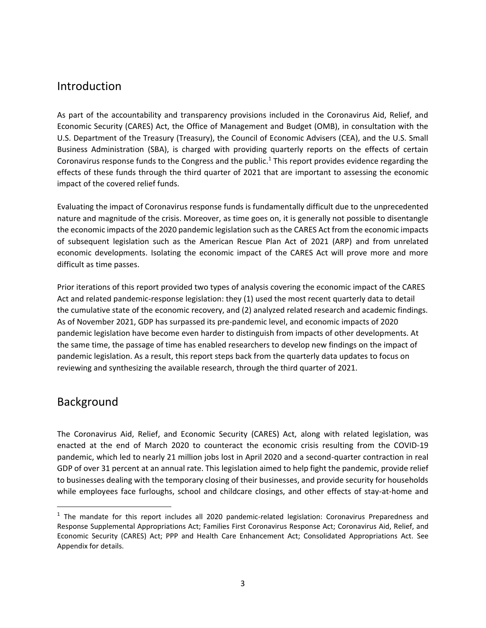## <span id="page-2-0"></span>Introduction

As part of the accountability and transparency provisions included in the Coronavirus Aid, Relief, and Economic Security (CARES) Act, the Office of Management and Budget (OMB), in consultation with the U.S. Department of the Treasury (Treasury), the Council of Economic Advisers (CEA), and the U.S. Small Business Administration (SBA), is charged with providing quarterly reports on the effects of certain Coronavirus response funds to the Congress and the public.<sup>1</sup> This report provides evidence regarding the effects of these funds through the third quarter of 2021 that are important to assessing the economic impact of the covered relief funds.

Evaluating the impact of Coronavirus response funds is fundamentally difficult due to the unprecedented nature and magnitude of the crisis. Moreover, as time goes on, it is generally not possible to disentangle the economic impacts of the 2020 pandemic legislation such as the CARES Act from the economic impacts of subsequent legislation such as the American Rescue Plan Act of 2021 (ARP) and from unrelated economic developments. Isolating the economic impact of the CARES Act will prove more and more difficult as time passes.

Prior iterations of this report provided two types of analysis covering the economic impact of the CARES Act and related pandemic-response legislation: they (1) used the most recent quarterly data to detail the cumulative state of the economic recovery, and (2) analyzed related research and academic findings. As of November 2021, GDP has surpassed its pre-pandemic level, and economic impacts of 2020 pandemic legislation have become even harder to distinguish from impacts of other developments. At the same time, the passage of time has enabled researchers to develop new findings on the impact of pandemic legislation. As a result, this report steps back from the quarterly data updates to focus on reviewing and synthesizing the available research, through the third quarter of 2021.

# <span id="page-2-1"></span>Background

 $\overline{\phantom{a}}$ 

The Coronavirus Aid, Relief, and Economic Security (CARES) Act, along with related legislation, was enacted at the end of March 2020 to counteract the economic crisis resulting from the COVID-19 pandemic, which led to nearly 21 million jobs lost in April 2020 and a second-quarter contraction in real GDP of over 31 percent at an annual rate. This legislation aimed to help fight the pandemic, provide relief to businesses dealing with the temporary closing of their businesses, and provide security for households while employees face furloughs, school and childcare closings, and other effects of stay-at-home and

<sup>&</sup>lt;sup>1</sup> The mandate for this report includes all 2020 pandemic-related legislation: Coronavirus Preparedness and Response Supplemental Appropriations Act; Families First Coronavirus Response Act; Coronavirus Aid, Relief, and Economic Security (CARES) Act; PPP and Health Care Enhancement Act; Consolidated Appropriations Act. See Appendix for details.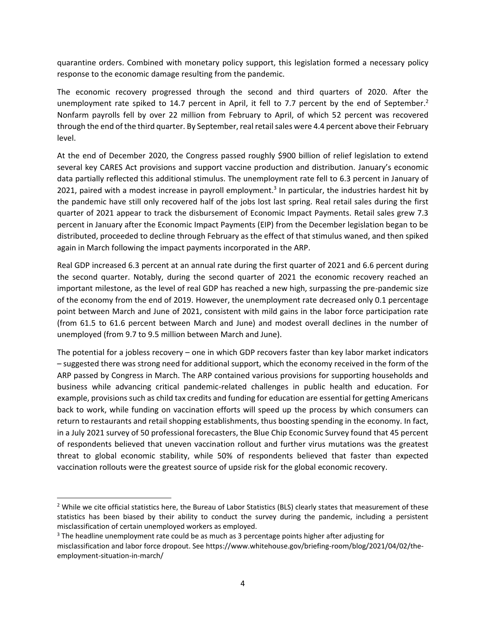quarantine orders. Combined with monetary policy support, this legislation formed a necessary policy response to the economic damage resulting from the pandemic.

The economic recovery progressed through the second and third quarters of 2020. After the unemployment rate spiked to 14.7 percent in April, it fell to 7.7 percent by the end of September.<sup>2</sup> Nonfarm payrolls fell by over 22 million from February to April, of which 52 percent was recovered through the end of the third quarter. By September, real retail sales were 4.4 percent above their February level.

At the end of December 2020, the Congress passed roughly \$900 billion of relief legislation to extend several key CARES Act provisions and support vaccine production and distribution. January's economic data partially reflected this additional stimulus. The unemployment rate fell to 6.3 percent in January of 2021, paired with a modest increase in payroll employment.<sup>3</sup> In particular, the industries hardest hit by the pandemic have still only recovered half of the jobs lost last spring. Real retail sales during the first quarter of 2021 appear to track the disbursement of Economic Impact Payments. Retail sales grew 7.3 percent in January after the Economic Impact Payments (EIP) from the December legislation began to be distributed, proceeded to decline through February as the effect of that stimulus waned, and then spiked again in March following the impact payments incorporated in the ARP.

Real GDP increased 6.3 percent at an annual rate during the first quarter of 2021 and 6.6 percent during the second quarter. Notably, during the second quarter of 2021 the economic recovery reached an important milestone, as the level of real GDP has reached a new high, surpassing the pre-pandemic size of the economy from the end of 2019. However, the unemployment rate decreased only 0.1 percentage point between March and June of 2021, consistent with mild gains in the labor force participation rate (from 61.5 to 61.6 percent between March and June) and modest overall declines in the number of unemployed (from 9.7 to 9.5 million between March and June).

The potential for a jobless recovery – one in which GDP recovers faster than key labor market indicators – suggested there was strong need for additional support, which the economy received in the form of the ARP passed by Congress in March. The ARP contained various provisions for supporting households and business while advancing critical pandemic-related challenges in public health and education. For example, provisions such as child tax credits and funding for education are essential for getting Americans back to work, while funding on vaccination efforts will speed up the process by which consumers can return to restaurants and retail shopping establishments, thus boosting spending in the economy. In fact, in a July 2021 survey of 50 professional forecasters, the Blue Chip Economic Survey found that 45 percent of respondents believed that uneven vaccination rollout and further virus mutations was the greatest threat to global economic stability, while 50% of respondents believed that faster than expected vaccination rollouts were the greatest source of upside risk for the global economic recovery.

 $\overline{\phantom{a}}$ 

 $2$  While we cite official statistics here, the Bureau of Labor Statistics (BLS) clearly states that measurement of these statistics has been biased by their ability to conduct the survey during the pandemic, including a persistent misclassification of certain unemployed workers as employed.

<sup>&</sup>lt;sup>3</sup> The headline unemployment rate could be as much as 3 percentage points higher after adjusting for misclassification and labor force dropout. See https://www.whitehouse.gov/briefing-room/blog/2021/04/02/theemployment-situation-in-march/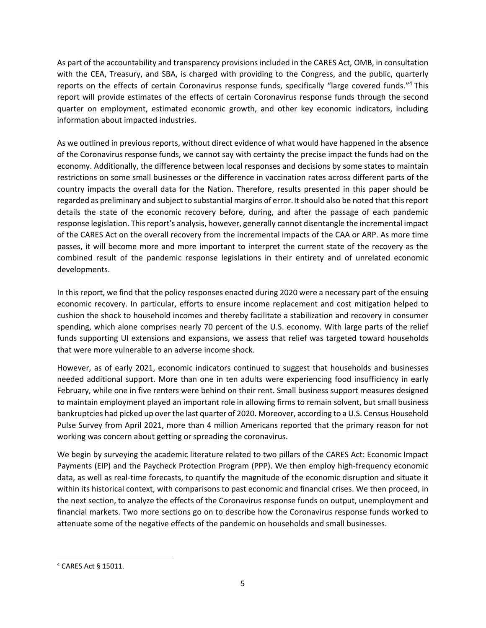As part of the accountability and transparency provisions included in the CARES Act, OMB, in consultation with the CEA, Treasury, and SBA, is charged with providing to the Congress, and the public, quarterly reports on the effects of certain Coronavirus response funds, specifically "large covered funds."<sup>4</sup> This report will provide estimates of the effects of certain Coronavirus response funds through the second quarter on employment, estimated economic growth, and other key economic indicators, including information about impacted industries.

As we outlined in previous reports, without direct evidence of what would have happened in the absence of the Coronavirus response funds, we cannot say with certainty the precise impact the funds had on the economy. Additionally, the difference between local responses and decisions by some states to maintain restrictions on some small businesses or the difference in vaccination rates across different parts of the country impacts the overall data for the Nation. Therefore, results presented in this paper should be regarded as preliminary and subject to substantial margins of error.It should also be noted that this report details the state of the economic recovery before, during, and after the passage of each pandemic response legislation. This report's analysis, however, generally cannot disentangle the incremental impact of the CARES Act on the overall recovery from the incremental impacts of the CAA or ARP. As more time passes, it will become more and more important to interpret the current state of the recovery as the combined result of the pandemic response legislations in their entirety and of unrelated economic developments.

In this report, we find that the policy responses enacted during 2020 were a necessary part of the ensuing economic recovery. In particular, efforts to ensure income replacement and cost mitigation helped to cushion the shock to household incomes and thereby facilitate a stabilization and recovery in consumer spending, which alone comprises nearly 70 percent of the U.S. economy. With large parts of the relief funds supporting UI extensions and expansions, we assess that relief was targeted toward households that were more vulnerable to an adverse income shock.

However, as of early 2021, economic indicators continued to suggest that households and businesses needed additional support. More than one in ten adults were experiencing food insufficiency in early February, while one in five renters were behind on their rent. Small business support measures designed to maintain employment played an important role in allowing firms to remain solvent, but small business bankruptcies had picked up over the last quarter of 2020. Moreover, according to a U.S. Census Household Pulse Survey from April 2021, more than 4 million Americans reported that the primary reason for not working was concern about getting or spreading the coronavirus.

We begin by surveying the academic literature related to two pillars of the CARES Act: Economic Impact Payments (EIP) and the Paycheck Protection Program (PPP). We then employ high-frequency economic data, as well as real-time forecasts, to quantify the magnitude of the economic disruption and situate it within its historical context, with comparisons to past economic and financial crises. We then proceed, in the next section, to analyze the effects of the Coronavirus response funds on output, unemployment and financial markets. Two more sections go on to describe how the Coronavirus response funds worked to attenuate some of the negative effects of the pandemic on households and small businesses.

 $\overline{a}$ 

<sup>4</sup> CARES Act § 15011.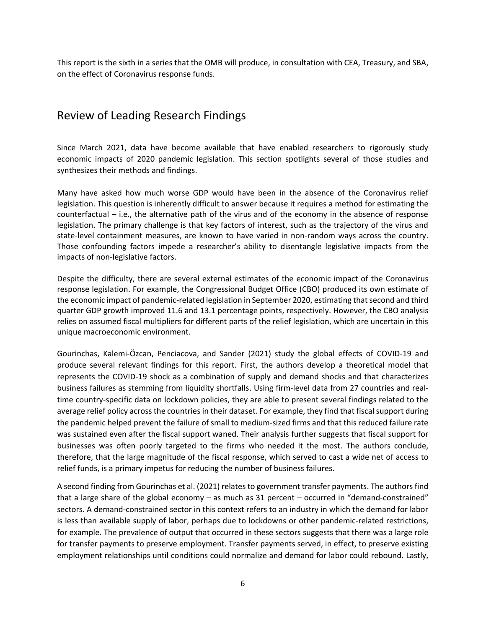This report is the sixth in a series that the OMB will produce, in consultation with CEA, Treasury, and SBA, on the effect of Coronavirus response funds.

# <span id="page-5-0"></span>Review of Leading Research Findings

Since March 2021, data have become available that have enabled researchers to rigorously study economic impacts of 2020 pandemic legislation. This section spotlights several of those studies and synthesizes their methods and findings.

Many have asked how much worse GDP would have been in the absence of the Coronavirus relief legislation. This question is inherently difficult to answer because it requires a method for estimating the counterfactual – i.e., the alternative path of the virus and of the economy in the absence of response legislation. The primary challenge is that key factors of interest, such as the trajectory of the virus and state-level containment measures, are known to have varied in non-random ways across the country. Those confounding factors impede a researcher's ability to disentangle legislative impacts from the impacts of non-legislative factors.

Despite the difficulty, there are several external estimates of the economic impact of the Coronavirus response legislation. For example, the Congressional Budget Office (CBO) produced its own estimate of the economic impact of pandemic-related legislation in September 2020, estimating that second and third quarter GDP growth improved 11.6 and 13.1 percentage points, respectively. However, the CBO analysis relies on assumed fiscal multipliers for different parts of the relief legislation, which are uncertain in this unique macroeconomic environment.

Gourinchas, Kalemi-Özcan, Penciacova, and Sander (2021) study the global effects of COVID-19 and produce several relevant findings for this report. First, the authors develop a theoretical model that represents the COVID-19 shock as a combination of supply and demand shocks and that characterizes business failures as stemming from liquidity shortfalls. Using firm-level data from 27 countries and realtime country-specific data on lockdown policies, they are able to present several findings related to the average relief policy across the countries in their dataset. For example, they find that fiscal support during the pandemic helped prevent the failure of small to medium-sized firms and that this reduced failure rate was sustained even after the fiscal support waned. Their analysis further suggests that fiscal support for businesses was often poorly targeted to the firms who needed it the most. The authors conclude, therefore, that the large magnitude of the fiscal response, which served to cast a wide net of access to relief funds, is a primary impetus for reducing the number of business failures.

A second finding from Gourinchas et al. (2021) relates to government transfer payments. The authors find that a large share of the global economy – as much as 31 percent – occurred in "demand-constrained" sectors. A demand-constrained sector in this context refers to an industry in which the demand for labor is less than available supply of labor, perhaps due to lockdowns or other pandemic-related restrictions, for example. The prevalence of output that occurred in these sectors suggests that there was a large role for transfer payments to preserve employment. Transfer payments served, in effect, to preserve existing employment relationships until conditions could normalize and demand for labor could rebound. Lastly,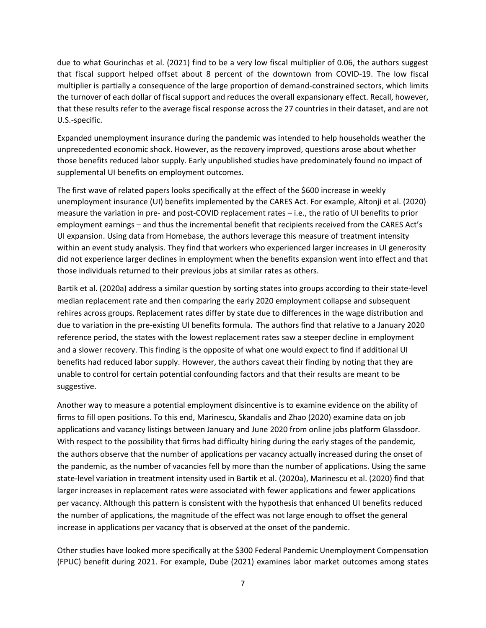due to what Gourinchas et al. (2021) find to be a very low fiscal multiplier of 0.06, the authors suggest that fiscal support helped offset about 8 percent of the downtown from COVID-19. The low fiscal multiplier is partially a consequence of the large proportion of demand-constrained sectors, which limits the turnover of each dollar of fiscal support and reduces the overall expansionary effect. Recall, however, that these results refer to the average fiscal response across the 27 countries in their dataset, and are not U.S.-specific.

Expanded unemployment insurance during the pandemic was intended to help households weather the unprecedented economic shock. However, as the recovery improved, questions arose about whether those benefits reduced labor supply. Early unpublished studies have predominately found no impact of supplemental UI benefits on employment outcomes.

The first wave of related papers looks specifically at the effect of the \$600 increase in weekly unemployment insurance (UI) benefits implemented by the CARES Act. For example, Altonji et al. (2020) measure the variation in pre- and post-COVID replacement rates – i.e., the ratio of UI benefits to prior employment earnings – and thus the incremental benefit that recipients received from the CARES Act's UI expansion. Using data from Homebase, the authors leverage this measure of treatment intensity within an event study analysis. They find that workers who experienced larger increases in UI generosity did not experience larger declines in employment when the benefits expansion went into effect and that those individuals returned to their previous jobs at similar rates as others.

Bartik et al. (2020a) address a similar question by sorting states into groups according to their state-level median replacement rate and then comparing the early 2020 employment collapse and subsequent rehires across groups. Replacement rates differ by state due to differences in the wage distribution and due to variation in the pre-existing UI benefits formula. The authors find that relative to a January 2020 reference period, the states with the lowest replacement rates saw a steeper decline in employment and a slower recovery. This finding is the opposite of what one would expect to find if additional UI benefits had reduced labor supply. However, the authors caveat their finding by noting that they are unable to control for certain potential confounding factors and that their results are meant to be suggestive.

Another way to measure a potential employment disincentive is to examine evidence on the ability of firms to fill open positions. To this end, Marinescu, Skandalis and Zhao (2020) examine data on job applications and vacancy listings between January and June 2020 from online jobs platform Glassdoor. With respect to the possibility that firms had difficulty hiring during the early stages of the pandemic, the authors observe that the number of applications per vacancy actually increased during the onset of the pandemic, as the number of vacancies fell by more than the number of applications. Using the same state-level variation in treatment intensity used in Bartik et al. (2020a), Marinescu et al. (2020) find that larger increases in replacement rates were associated with fewer applications and fewer applications per vacancy. Although this pattern is consistent with the hypothesis that enhanced UI benefits reduced the number of applications, the magnitude of the effect was not large enough to offset the general increase in applications per vacancy that is observed at the onset of the pandemic.

Other studies have looked more specifically at the \$300 Federal Pandemic Unemployment Compensation (FPUC) benefit during 2021. For example, Dube (2021) examines labor market outcomes among states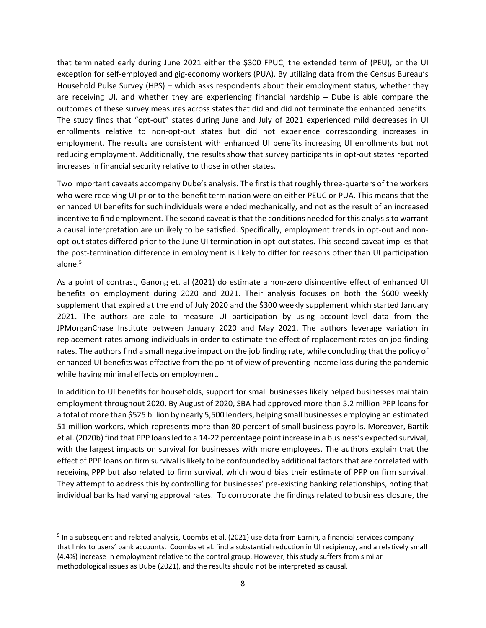that terminated early during June 2021 either the \$300 FPUC, the extended term of (PEU), or the UI exception for self-employed and gig-economy workers (PUA). By utilizing data from the Census Bureau's Household Pulse Survey (HPS) – which asks respondents about their employment status, whether they are receiving UI, and whether they are experiencing financial hardship – Dube is able compare the outcomes of these survey measures across states that did and did not terminate the enhanced benefits. The study finds that "opt-out" states during June and July of 2021 experienced mild decreases in UI enrollments relative to non-opt-out states but did not experience corresponding increases in employment. The results are consistent with enhanced UI benefits increasing UI enrollments but not reducing employment. Additionally, the results show that survey participants in opt-out states reported increases in financial security relative to those in other states.

Two important caveats accompany Dube's analysis. The first is that roughly three-quarters of the workers who were receiving UI prior to the benefit termination were on either PEUC or PUA. This means that the enhanced UI benefits for such individuals were ended mechanically, and not as the result of an increased incentive to find employment. The second caveat is that the conditions needed for this analysis to warrant a causal interpretation are unlikely to be satisfied. Specifically, employment trends in opt-out and nonopt-out states differed prior to the June UI termination in opt-out states. This second caveat implies that the post-termination difference in employment is likely to differ for reasons other than UI participation alone.<sup>5</sup>

As a point of contrast, Ganong et. al (2021) do estimate a non-zero disincentive effect of enhanced UI benefits on employment during 2020 and 2021. Their analysis focuses on both the \$600 weekly supplement that expired at the end of July 2020 and the \$300 weekly supplement which started January 2021. The authors are able to measure UI participation by using account-level data from the JPMorganChase Institute between January 2020 and May 2021. The authors leverage variation in replacement rates among individuals in order to estimate the effect of replacement rates on job finding rates. The authors find a small negative impact on the job finding rate, while concluding that the policy of enhanced UI benefits was effective from the point of view of preventing income loss during the pandemic while having minimal effects on employment.

In addition to UI benefits for households, support for small businesses likely helped businesses maintain employment throughout 2020. By August of 2020, SBA had approved more than 5.2 million PPP loans for a total of more than \$525 billion by nearly 5,500 lenders, helping small businesses employing an estimated 51 million workers, which represents more than 80 percent of small business payrolls. Moreover, Bartik et al. (2020b) find that PPP loans led to a 14-22 percentage point increase in a business's expected survival, with the largest impacts on survival for businesses with more employees. The authors explain that the effect of PPP loans on firm survival is likely to be confounded by additional factors that are correlated with receiving PPP but also related to firm survival, which would bias their estimate of PPP on firm survival. They attempt to address this by controlling for businesses' pre-existing banking relationships, noting that individual banks had varying approval rates. To corroborate the findings related to business closure, the

 $\overline{\phantom{a}}$ 

<sup>&</sup>lt;sup>5</sup> In a subsequent and related analysis, Coombs et al. (2021) use data from Earnin, a financial services company that links to users' bank accounts. Coombs et al. find a substantial reduction in UI recipiency, and a relatively small (4.4%) increase in employment relative to the control group. However, this study suffers from similar methodological issues as Dube (2021), and the results should not be interpreted as causal.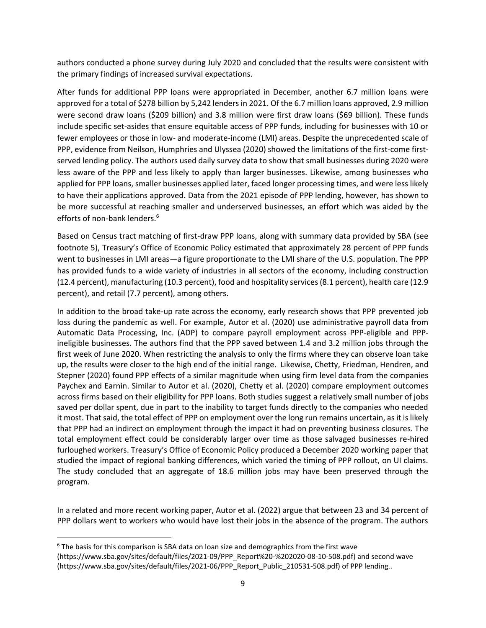authors conducted a phone survey during July 2020 and concluded that the results were consistent with the primary findings of increased survival expectations.

After funds for additional PPP loans were appropriated in December, another 6.7 million loans were approved for a total of \$278 billion by 5,242 lenders in 2021. Of the 6.7 million loans approved, 2.9 million were second draw loans (\$209 billion) and 3.8 million were first draw loans (\$69 billion). These funds include specific set-asides that ensure equitable access of PPP funds, including for businesses with 10 or fewer employees or those in low- and moderate-income (LMI) areas. Despite the unprecedented scale of PPP, evidence from Neilson, Humphries and Ulyssea (2020) showed the limitations of the first-come firstserved lending policy. The authors used daily survey data to show that small businesses during 2020 were less aware of the PPP and less likely to apply than larger businesses. Likewise, among businesses who applied for PPP loans, smaller businesses applied later, faced longer processing times, and were less likely to have their applications approved. Data from the 2021 episode of PPP lending, however, has shown to be more successful at reaching smaller and underserved businesses, an effort which was aided by the efforts of non-bank lenders.<sup>6</sup>

Based on Census tract matching of first-draw PPP loans, along with summary data provided by SBA (see footnote 5), Treasury's Office of Economic Policy estimated that approximately 28 percent of PPP funds went to businesses in LMI areas—a figure proportionate to the LMI share of the U.S. population. The PPP has provided funds to a wide variety of industries in all sectors of the economy, including construction (12.4 percent), manufacturing (10.3 percent), food and hospitality services (8.1 percent), health care (12.9 percent), and retail (7.7 percent), among others.

In addition to the broad take-up rate across the economy, early research shows that PPP prevented job loss during the pandemic as well. For example, Autor et al. (2020) use administrative payroll data from Automatic Data Processing, Inc. (ADP) to compare payroll employment across PPP-eligible and PPPineligible businesses. The authors find that the PPP saved between 1.4 and 3.2 million jobs through the first week of June 2020. When restricting the analysis to only the firms where they can observe loan take up, the results were closer to the high end of the initial range. Likewise, Chetty, Friedman, Hendren, and Stepner (2020) found PPP effects of a similar magnitude when using firm level data from the companies Paychex and Earnin. Similar to Autor et al. (2020), Chetty et al. (2020) compare employment outcomes across firms based on their eligibility for PPP loans. Both studies suggest a relatively small number of jobs saved per dollar spent, due in part to the inability to target funds directly to the companies who needed it most. That said, the total effect of PPP on employment over the long run remains uncertain, as it is likely that PPP had an indirect on employment through the impact it had on preventing business closures. The total employment effect could be considerably larger over time as those salvaged businesses re-hired furloughed workers. Treasury's Office of Economic Policy produced a December 2020 working paper that studied the impact of regional banking differences, which varied the timing of PPP rollout, on UI claims. The study concluded that an aggregate of 18.6 million jobs may have been preserved through the program.

In a related and more recent working paper, Autor et al. (2022) argue that between 23 and 34 percent of PPP dollars went to workers who would have lost their jobs in the absence of the program. The authors

 $\overline{\phantom{a}}$ 

 $6$  The basis for this comparison is SBA data on loan size and demographics from the first wave [\(https://www.sba.gov/sites/default/files/2021-09/PPP\\_Report%20-%202020-08-10-508.pdf\)](https://www.sba.gov/sites/default/files/2021-09/PPP_Report%20-%202020-08-10-508.pdf) and second wave [\(https://www.sba.gov/sites/default/files/2021-06/PPP\\_Report\\_Public\\_210531-508.pdf\)](https://www.sba.gov/sites/default/files/2021-06/PPP_Report_Public_210531-508.pdf) of PPP lending..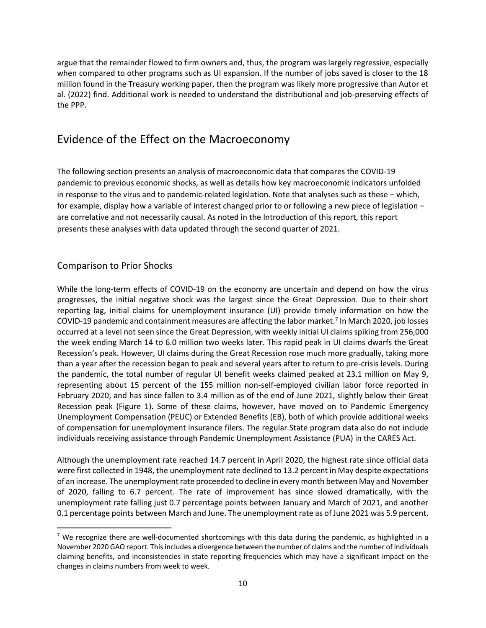argue that the remainder flowed to firm owners and, thus, the program was largely regressive, especially when compared to other programs such as UI expansion. If the number of jobs saved is closer to the 18 million found in the Treasury working paper, then the program was likely more progressive than Autor et al. (2022) find. Additional work is needed to understand the distributional and job-preserving effects of the PPP.

# <span id="page-9-0"></span>Evidence of the Effect on the Macroeconomy

The following section presents an analysis of macroeconomic data that compares the COVID-19 pandemic to previous economic shocks, as well as details how key macroeconomic indicators unfolded in response to the virus and to pandemic-related legislation. Note that analyses such as these – which, for example, display how a variable of interest changed prior to or following a new piece of legislation – are correlative and not necessarily causal. As noted in the Introduction of this report, this report presents these analyses with data updated through the second quarter of 2021.

### <span id="page-9-1"></span>Comparison to Prior Shocks

 $\overline{\phantom{a}}$ 

While the long-term effects of COVID-19 on the economy are uncertain and depend on how the virus progresses, the initial negative shock was the largest since the Great Depression. Due to their short reporting lag, initial claims for unemployment insurance (UI) provide timely information on how the COVID-19 pandemic and containment measures are affecting the labor market.<sup>7</sup> In March 2020, job losses occurred at a level not seen since the Great Depression, with weekly initial UI claims spiking from 256,000 the week ending March 14 to 6.0 million two weeks later. This rapid peak in UI claims dwarfs the Great Recession's peak. However, UI claims during the Great Recession rose much more gradually, taking more than a year after the recession began to peak and several years after to return to pre-crisis levels. During the pandemic, the total number of regular UI benefit weeks claimed peaked at 23.1 million on May 9, representing about 15 percent of the 155 million non-self-employed civilian labor force reported in February 2020, and has since fallen to 3.4 million as of the end of June 2021, slightly below their Great Recession peak (Figure 1). Some of these claims, however, have moved on to Pandemic Emergency Unemployment Compensation (PEUC) or Extended Benefits (EB), both of which provide additional weeks of compensation for unemployment insurance filers. The regular State program data also do not include individuals receiving assistance through Pandemic Unemployment Assistance (PUA) in the CARES Act.

Although the unemployment rate reached 14.7 percent in April 2020, the highest rate since official data were first collected in 1948, the unemployment rate declined to 13.2 percent in May despite expectations of an increase. The unemployment rate proceeded to decline in every month between May and November of 2020, falling to 6.7 percent. The rate of improvement has since slowed dramatically, with the unemployment rate falling just 0.7 percentage points between January and March of 2021, and another 0.1 percentage points between March and June. The unemployment rate as of June 2021 was 5.9 percent.

<sup>&</sup>lt;sup>7</sup> We recognize there are well-documented shortcomings with this data during the pandemic, as highlighted in a November 2020 GAO report. This includes a divergence between the number of claims and the number of individuals claiming benefits, and inconsistencies in state reporting frequencies which may have a significant impact on the changes in claims numbers from week to week.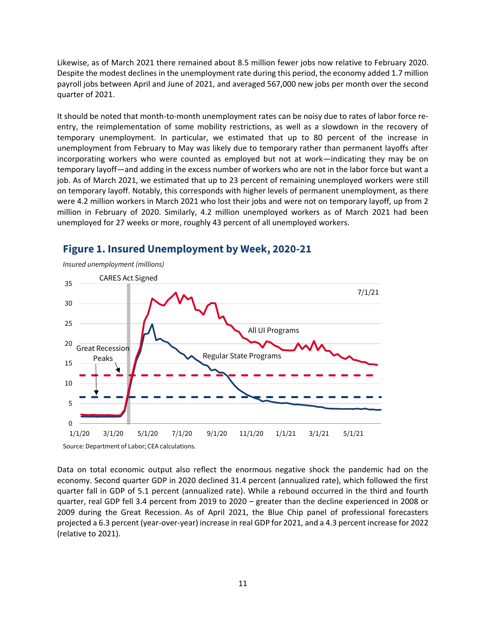Likewise, as of March 2021 there remained about 8.5 million fewer jobs now relative to February 2020. Despite the modest declines in the unemployment rate during this period, the economy added 1.7 million payroll jobs between April and June of 2021, and averaged 567,000 new jobs per month over the second quarter of 2021.

It should be noted that month-to-month unemployment rates can be noisy due to rates of labor force reentry, the reimplementation of some mobility restrictions, as well as a slowdown in the recovery of temporary unemployment. In particular, we estimated that up to 80 percent of the increase in unemployment from February to May was likely due to temporary rather than permanent layoffs after incorporating workers who were counted as employed but not at work—indicating they may be on temporary layoff—and adding in the excess number of workers who are not in the labor force but want a job. As of March 2021, we estimated that up to 23 percent of remaining unemployed workers were still on temporary layoff. Notably, this corresponds with higher levels of permanent unemployment, as there were 4.2 million workers in March 2021 who lost their jobs and were not on temporary layoff, up from 2 million in February of 2020. Similarly, 4.2 million unemployed workers as of March 2021 had been unemployed for 27 weeks or more, roughly 43 percent of all unemployed workers.



### **Figure 1. Insured Unemployment by Week, 2020-21**

Data on total economic output also reflect the enormous negative shock the pandemic had on the economy. Second quarter GDP in 2020 declined 31.4 percent (annualized rate), which followed the first quarter fall in GDP of 5.1 percent (annualized rate). While a rebound occurred in the third and fourth quarter, real GDP fell 3.4 percent from 2019 to 2020 – greater than the decline experienced in 2008 or 2009 during the Great Recession. As of April 2021, the Blue Chip panel of professional forecasters projected a 6.3 percent (year-over-year) increase in real GDP for 2021, and a 4.3 percent increase for 2022 (relative to 2021).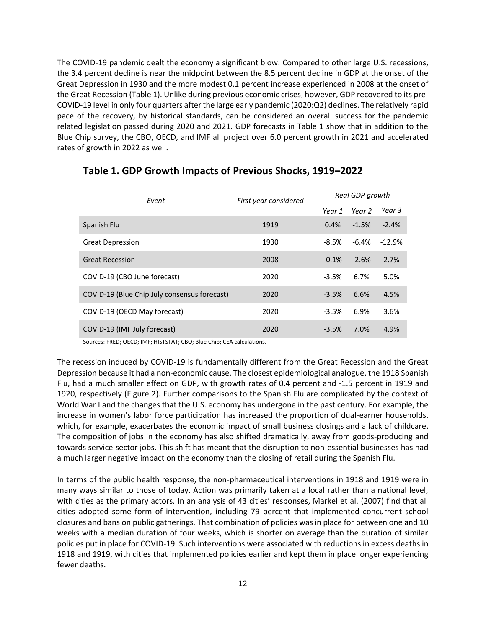The COVID-19 pandemic dealt the economy a significant blow. Compared to other large U.S. recessions, the 3.4 percent decline is near the midpoint between the 8.5 percent decline in GDP at the onset of the Great Depression in 1930 and the more modest 0.1 percent increase experienced in 2008 at the onset of the Great Recession (Table 1). Unlike during previous economic crises, however, GDP recovered to its pre-COVID-19 level in only four quarters after the large early pandemic (2020:Q2) declines. The relatively rapid pace of the recovery, by historical standards, can be considered an overall success for the pandemic related legislation passed during 2020 and 2021. GDP forecasts in Table 1 show that in addition to the Blue Chip survey, the CBO, OECD, and IMF all project over 6.0 percent growth in 2021 and accelerated rates of growth in 2022 as well.

| Event                                        | First year considered | Real GDP growth |         |          |
|----------------------------------------------|-----------------------|-----------------|---------|----------|
|                                              |                       | Year 1          | Year 2  | Year 3   |
| Spanish Flu                                  | 1919                  | 0.4%            | $-1.5%$ | $-2.4%$  |
| <b>Great Depression</b>                      | 1930                  | -8.5%           | -6.4%   | $-12.9%$ |
| <b>Great Recession</b>                       | 2008                  | $-0.1%$         | $-2.6%$ | 2.7%     |
| COVID-19 (CBO June forecast)                 | 2020                  | $-3.5%$         | 6.7%    | 5.0%     |
| COVID-19 (Blue Chip July consensus forecast) | 2020                  | $-3.5%$         | 6.6%    | 4.5%     |
| COVID-19 (OECD May forecast)                 | 2020                  | $-3.5%$         | 6.9%    | 3.6%     |
| COVID-19 (IMF July forecast)                 | 2020                  | $-3.5%$         | 7.0%    | 4.9%     |

### **Table 1. GDP Growth Impacts of Previous Shocks, 1919–2022**

Sources: FRED; OECD; IMF; HISTSTAT; CBO; Blue Chip; CEA calculations.

The recession induced by COVID-19 is fundamentally different from the Great Recession and the Great Depression because it had a non-economic cause. The closest epidemiological analogue, the 1918 Spanish Flu, had a much smaller effect on GDP, with growth rates of 0.4 percent and -1.5 percent in 1919 and 1920, respectively (Figure 2). Further comparisons to the Spanish Flu are complicated by the context of World War I and the changes that the U.S. economy has undergone in the past century. For example, the increase in women's labor force participation has increased the proportion of dual-earner households, which, for example, exacerbates the economic impact of small business closings and a lack of childcare. The composition of jobs in the economy has also shifted dramatically, away from goods-producing and towards service-sector jobs. This shift has meant that the disruption to non-essential businesses has had a much larger negative impact on the economy than the closing of retail during the Spanish Flu.

In terms of the public health response, the non-pharmaceutical interventions in 1918 and 1919 were in many ways similar to those of today. Action was primarily taken at a local rather than a national level, with cities as the primary actors. In an analysis of 43 cities' responses, Markel et al. (2007) find that all cities adopted some form of intervention, including 79 percent that implemented concurrent school closures and bans on public gatherings. That combination of policies was in place for between one and 10 weeks with a median duration of four weeks, which is shorter on average than the duration of similar policies put in place for COVID-19. Such interventions were associated with reductions in excess deaths in 1918 and 1919, with cities that implemented policies earlier and kept them in place longer experiencing fewer deaths.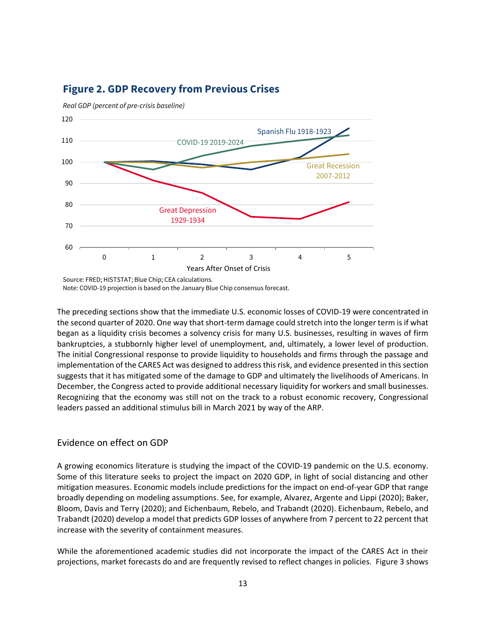

# **Figure 2. GDP Recovery from Previous Crises**

Source: FRED; HISTSTAT; Blue Chip; CEA calculations. Note: COVID-19 projection is based on the January Blue Chip consensus forecast.

The preceding sections show that the immediate U.S. economic losses of COVID-19 were concentrated in the second quarter of 2020. One way that short-term damage could stretch into the longer term is if what began as a liquidity crisis becomes a solvency crisis for many U.S. businesses, resulting in waves of firm bankruptcies, a stubbornly higher level of unemployment, and, ultimately, a lower level of production. The initial Congressional response to provide liquidity to households and firms through the passage and implementation of the CARES Act was designed to address this risk, and evidence presented in this section suggests that it has mitigated some of the damage to GDP and ultimately the livelihoods of Americans. In December, the Congress acted to provide additional necessary liquidity for workers and small businesses. Recognizing that the economy was still not on the track to a robust economic recovery, Congressional leaders passed an additional stimulus bill in March 2021 by way of the ARP.

### <span id="page-12-0"></span>Evidence on effect on GDP

A growing economics literature is studying the impact of the COVID-19 pandemic on the U.S. economy. Some of this literature seeks to project the impact on 2020 GDP, in light of social distancing and other mitigation measures. Economic models include predictions for the impact on end-of-year GDP that range broadly depending on modeling assumptions. See, for example, Alvarez, Argente and Lippi (2020); Baker, Bloom, Davis and Terry (2020); and Eichenbaum, Rebelo, and Trabandt (2020). Eichenbaum, Rebelo, and Trabandt (2020) develop a model that predicts GDP losses of anywhere from 7 percent to 22 percent that increase with the severity of containment measures.

While the aforementioned academic studies did not incorporate the impact of the CARES Act in their projections, market forecasts do and are frequently revised to reflect changes in policies. Figure 3 shows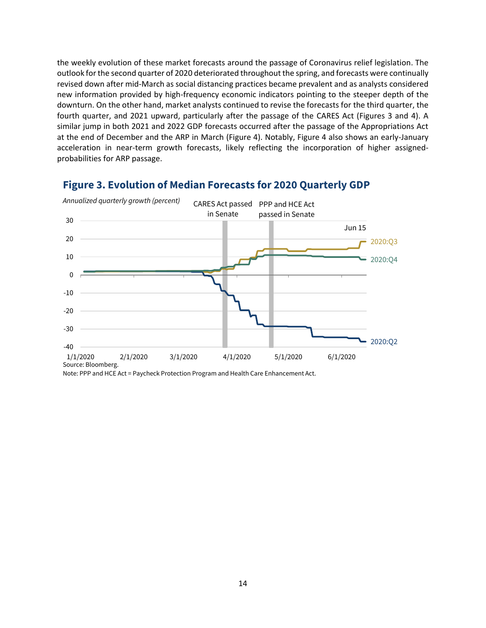the weekly evolution of these market forecasts around the passage of Coronavirus relief legislation. The outlook for the second quarter of 2020 deteriorated throughout the spring, and forecasts were continually revised down after mid-March as social distancing practices became prevalent and as analysts considered new information provided by high-frequency economic indicators pointing to the steeper depth of the downturn. On the other hand, market analysts continued to revise the forecasts for the third quarter, the fourth quarter, and 2021 upward, particularly after the passage of the CARES Act (Figures 3 and 4). A similar jump in both 2021 and 2022 GDP forecasts occurred after the passage of the Appropriations Act at the end of December and the ARP in March (Figure 4). Notably, Figure 4 also shows an early-January acceleration in near-term growth forecasts, likely reflecting the incorporation of higher assignedprobabilities for ARP passage.



### **Figure 3. Evolution of Median Forecasts for 2020 Quarterly GDP**

Note: PPP and HCE Act = Paycheck Protection Program and Health Care Enhancement Act.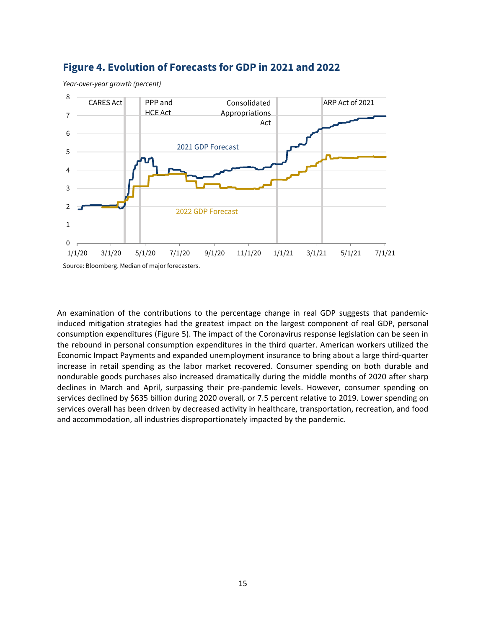

### **Figure 4. Evolution of Forecasts for GDP in 2021 and 2022**

An examination of the contributions to the percentage change in real GDP suggests that pandemicinduced mitigation strategies had the greatest impact on the largest component of real GDP, personal consumption expenditures (Figure 5). The impact of the Coronavirus response legislation can be seen in the rebound in personal consumption expenditures in the third quarter. American workers utilized the Economic Impact Payments and expanded unemployment insurance to bring about a large third-quarter increase in retail spending as the labor market recovered. Consumer spending on both durable and nondurable goods purchases also increased dramatically during the middle months of 2020 after sharp declines in March and April, surpassing their pre-pandemic levels. However, consumer spending on services declined by \$635 billion during 2020 overall, or 7.5 percent relative to 2019. Lower spending on services overall has been driven by decreased activity in healthcare, transportation, recreation, and food and accommodation, all industries disproportionately impacted by the pandemic.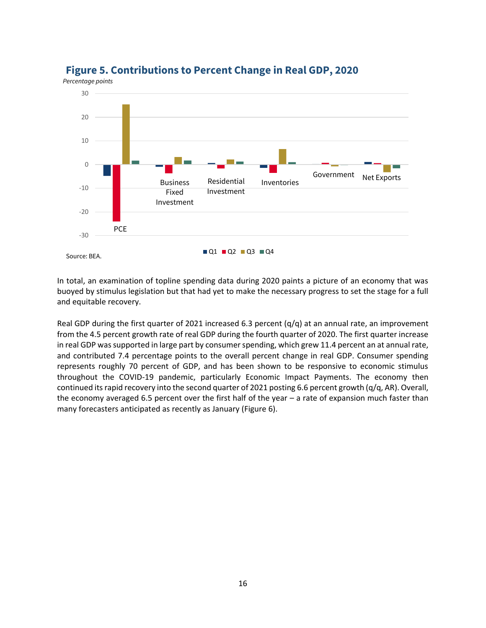

### **Figure 5. Contributions to Percent Change in Real GDP, 2020**

In total, an examination of topline spending data during 2020 paints a picture of an economy that was buoyed by stimulus legislation but that had yet to make the necessary progress to set the stage for a full and equitable recovery.

Real GDP during the first quarter of 2021 increased 6.3 percent  $(q/q)$  at an annual rate, an improvement from the 4.5 percent growth rate of real GDP during the fourth quarter of 2020. The first quarter increase in real GDP was supported in large part by consumer spending, which grew 11.4 percent an at annual rate, and contributed 7.4 percentage points to the overall percent change in real GDP. Consumer spending represents roughly 70 percent of GDP, and has been shown to be responsive to economic stimulus throughout the COVID-19 pandemic, particularly Economic Impact Payments. The economy then continued its rapid recovery into the second quarter of 2021 posting 6.6 percent growth (q/q, AR). Overall, the economy averaged 6.5 percent over the first half of the year – a rate of expansion much faster than many forecasters anticipated as recently as January (Figure 6).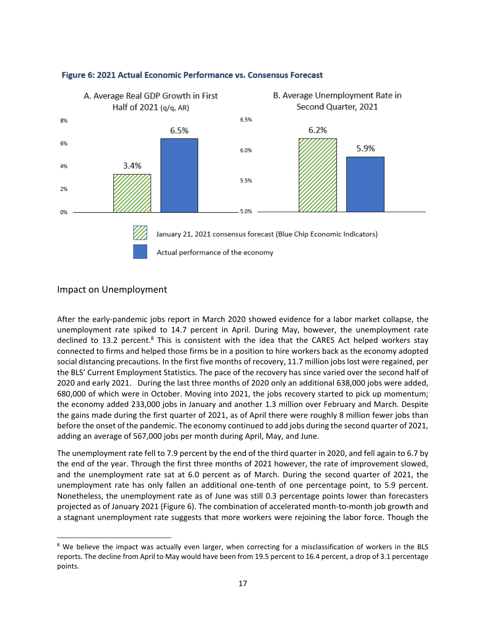

#### Figure 6: 2021 Actual Economic Performance vs. Consensus Forecast

#### <span id="page-16-0"></span>Impact on Unemployment

 $\overline{\phantom{a}}$ 

After the early-pandemic jobs report in March 2020 showed evidence for a labor market collapse, the unemployment rate spiked to 14.7 percent in April. During May, however, the unemployment rate declined to 13.2 percent.<sup>8</sup> This is consistent with the idea that the CARES Act helped workers stay connected to firms and helped those firms be in a position to hire workers back as the economy adopted social distancing precautions. In the first five months of recovery, 11.7 million jobs lost were regained, per the BLS' Current Employment Statistics. The pace of the recovery has since varied over the second half of 2020 and early 2021. During the last three months of 2020 only an additional 638,000 jobs were added, 680,000 of which were in October. Moving into 2021, the jobs recovery started to pick up momentum; the economy added 233,000 jobs in January and another 1.3 million over February and March. Despite the gains made during the first quarter of 2021, as of April there were roughly 8 million fewer jobs than before the onset of the pandemic. The economy continued to add jobs during the second quarter of 2021, adding an average of 567,000 jobs per month during April, May, and June.

The unemployment rate fell to 7.9 percent by the end of the third quarter in 2020, and fell again to 6.7 by the end of the year. Through the first three months of 2021 however, the rate of improvement slowed, and the unemployment rate sat at 6.0 percent as of March. During the second quarter of 2021, the unemployment rate has only fallen an additional one-tenth of one percentage point, to 5.9 percent. Nonetheless, the unemployment rate as of June was still 0.3 percentage points lower than forecasters projected as of January 2021 (Figure 6). The combination of accelerated month-to-month job growth and a stagnant unemployment rate suggests that more workers were rejoining the labor force. Though the

<sup>&</sup>lt;sup>8</sup> We believe the impact was actually even larger, when correcting for a misclassification of workers in the BLS reports. The decline from April to May would have been from 19.5 percent to 16.4 percent, a drop of 3.1 percentage points.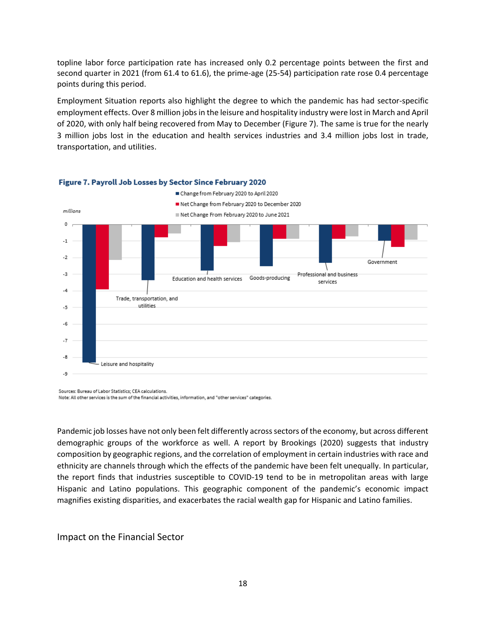topline labor force participation rate has increased only 0.2 percentage points between the first and second quarter in 2021 (from 61.4 to 61.6), the prime-age (25-54) participation rate rose 0.4 percentage points during this period.

Employment Situation reports also highlight the degree to which the pandemic has had sector-specific employment effects. Over 8 million jobs in the leisure and hospitality industry were lost in March and April of 2020, with only half being recovered from May to December (Figure 7). The same is true for the nearly 3 million jobs lost in the education and health services industries and 3.4 million jobs lost in trade, transportation, and utilities.



#### Figure 7. Payroll Job Losses by Sector Since February 2020

Sources: Bureau of Labor Statistics; CEA calculations. Note: All other services is the sum of the financial activities, information, and "other services" categories.

Pandemic job losses have not only been felt differently across sectors of the economy, but across different demographic groups of the workforce as well. A report by Brookings (2020) suggests that industry composition by geographic regions, and the correlation of employment in certain industries with race and ethnicity are channels through which the effects of the pandemic have been felt unequally. In particular, the report finds that industries susceptible to COVID-19 tend to be in metropolitan areas with large Hispanic and Latino populations. This geographic component of the pandemic's economic impact magnifies existing disparities, and exacerbates the racial wealth gap for Hispanic and Latino families.

### <span id="page-17-0"></span>Impact on the Financial Sector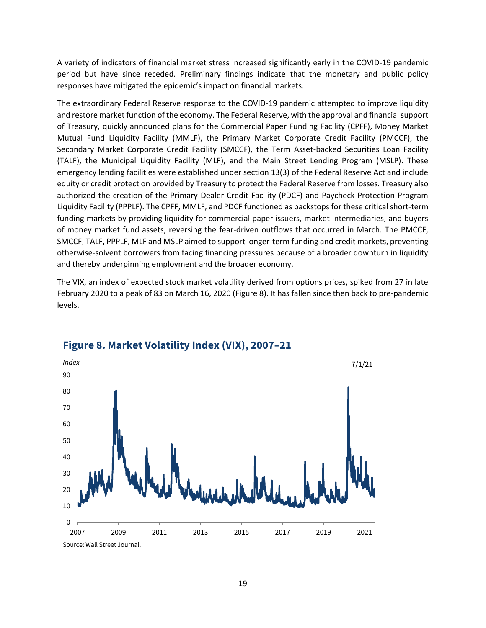A variety of indicators of financial market stress increased significantly early in the COVID-19 pandemic period but have since receded. Preliminary findings indicate that the monetary and public policy responses have mitigated the epidemic's impact on financial markets.

The extraordinary Federal Reserve response to the COVID-19 pandemic attempted to improve liquidity and restore market function of the economy. The Federal Reserve, with the approval and financial support of Treasury, quickly announced plans for the Commercial Paper Funding Facility (CPFF), Money Market Mutual Fund Liquidity Facility (MMLF), the Primary Market Corporate Credit Facility (PMCCF), the Secondary Market Corporate Credit Facility (SMCCF), the Term Asset-backed Securities Loan Facility (TALF), the Municipal Liquidity Facility (MLF), and the Main Street Lending Program (MSLP). These emergency lending facilities were established under section 13(3) of the Federal Reserve Act and include equity or credit protection provided by Treasury to protect the Federal Reserve from losses. Treasury also authorized the creation of the Primary Dealer Credit Facility (PDCF) and Paycheck Protection Program Liquidity Facility (PPPLF). The CPFF, MMLF, and PDCF functioned as backstops for these critical short-term funding markets by providing liquidity for commercial paper issuers, market intermediaries, and buyers of money market fund assets, reversing the fear-driven outflows that occurred in March. The PMCCF, SMCCF, TALF, PPPLF, MLF and MSLP aimed to support longer-term funding and credit markets, preventing otherwise-solvent borrowers from facing financing pressures because of a broader downturn in liquidity and thereby underpinning employment and the broader economy.

The VIX, an index of expected stock market volatility derived from options prices, spiked from 27 in late February 2020 to a peak of 83 on March 16, 2020 (Figure 8). It has fallen since then back to pre-pandemic levels.



### **Figure 8. Market Volatility Index (VIX), 2007–21**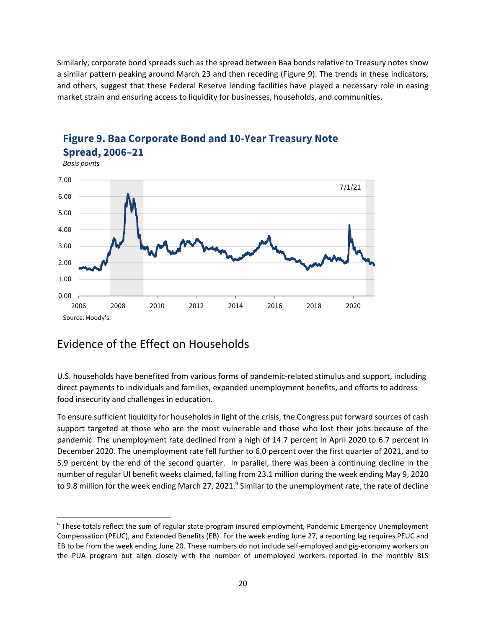Similarly, corporate bond spreads such as the spread between Baa bonds relative to Treasury notes show a similar pattern peaking around March 23 and then receding (Figure 9). The trends in these indicators, and others, suggest that these Federal Reserve lending facilities have played a necessary role in easing market strain and ensuring access to liquidity for businesses, households, and communities.



# **Figure 9. Baa Corporate Bond and 10-Year Treasury Note Spread, 2006–21**

# <span id="page-19-0"></span>Evidence of the Effect on Households

 $\overline{\phantom{a}}$ 

U.S. households have benefited from various forms of pandemic-related stimulus and support, including direct payments to individuals and families, expanded unemployment benefits, and efforts to address food insecurity and challenges in education.

To ensure sufficient liquidity for households in light of the crisis, the Congress put forward sources of cash support targeted at those who are the most vulnerable and those who lost their jobs because of the pandemic. The unemployment rate declined from a high of 14.7 percent in April 2020 to 6.7 percent in December 2020. The unemployment rate fell further to 6.0 percent over the first quarter of 2021, and to 5.9 percent by the end of the second quarter. In parallel, there was been a continuing decline in the number of regular UI benefit weeks claimed, falling from 23.1 million during the week ending May 9, 2020 to 9.8 million for the week ending March 27, 2021. $^9$  Similar to the unemployment rate, the rate of decline

<sup>&</sup>lt;sup>9</sup> These totals reflect the sum of regular state-program insured employment, Pandemic Emergency Unemployment Compensation (PEUC), and Extended Benefits (EB). For the week ending June 27, a reporting lag requires PEUC and EB to be from the week ending June 20. These numbers do not include self-employed and gig-economy workers on the PUA program but align closely with the number of unemployed workers reported in the monthly BLS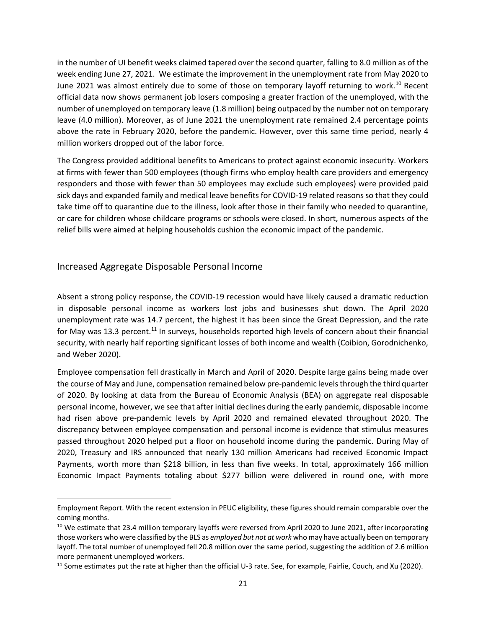in the number of UI benefit weeks claimed tapered over the second quarter, falling to 8.0 million as of the week ending June 27, 2021. We estimate the improvement in the unemployment rate from May 2020 to June 2021 was almost entirely due to some of those on temporary layoff returning to work.<sup>10</sup> Recent official data now shows permanent job losers composing a greater fraction of the unemployed, with the number of unemployed on temporary leave (1.8 million) being outpaced by the number not on temporary leave (4.0 million). Moreover, as of June 2021 the unemployment rate remained 2.4 percentage points above the rate in February 2020, before the pandemic. However, over this same time period, nearly 4 million workers dropped out of the labor force.

The Congress provided additional benefits to Americans to protect against economic insecurity. Workers at firms with fewer than 500 employees (though firms who employ health care providers and emergency responders and those with fewer than 50 employees may exclude such employees) were provided paid sick days and expanded family and medical leave benefits for COVID-19 related reasons so that they could take time off to quarantine due to the illness, look after those in their family who needed to quarantine, or care for children whose childcare programs or schools were closed. In short, numerous aspects of the relief bills were aimed at helping households cushion the economic impact of the pandemic.

### <span id="page-20-0"></span>Increased Aggregate Disposable Personal Income

 $\overline{\phantom{a}}$ 

Absent a strong policy response, the COVID-19 recession would have likely caused a dramatic reduction in disposable personal income as workers lost jobs and businesses shut down. The April 2020 unemployment rate was 14.7 percent, the highest it has been since the Great Depression, and the rate for May was 13.3 percent.<sup>11</sup> In surveys, households reported high levels of concern about their financial security, with nearly half reporting significant losses of both income and wealth (Coibion, Gorodnichenko, and Weber 2020).

Employee compensation fell drastically in March and April of 2020. Despite large gains being made over the course of May and June, compensation remained below pre-pandemic levels through the third quarter of 2020. By looking at data from the Bureau of Economic Analysis (BEA) on aggregate real disposable personal income, however, we see that after initial declines during the early pandemic, disposable income had risen above pre-pandemic levels by April 2020 and remained elevated throughout 2020. The discrepancy between employee compensation and personal income is evidence that stimulus measures passed throughout 2020 helped put a floor on household income during the pandemic. During May of 2020, Treasury and IRS announced that nearly 130 million Americans had received Economic Impact Payments, worth more than \$218 billion, in less than five weeks. In total, approximately 166 million Economic Impact Payments totaling about \$277 billion were delivered in round one, with more

Employment Report. With the recent extension in PEUC eligibility, these figures should remain comparable over the coming months.

<sup>&</sup>lt;sup>10</sup> We estimate that 23.4 million temporary layoffs were reversed from April 2020 to June 2021, after incorporating those workers who were classified by the BLS as *employed but not at work* who may have actually been on temporary layoff. The total number of unemployed fell 20.8 million over the same period, suggesting the addition of 2.6 million more permanent unemployed workers.

<sup>&</sup>lt;sup>11</sup> Some estimates put the rate at higher than the official U-3 rate. See, for example, Fairlie, Couch, and Xu (2020).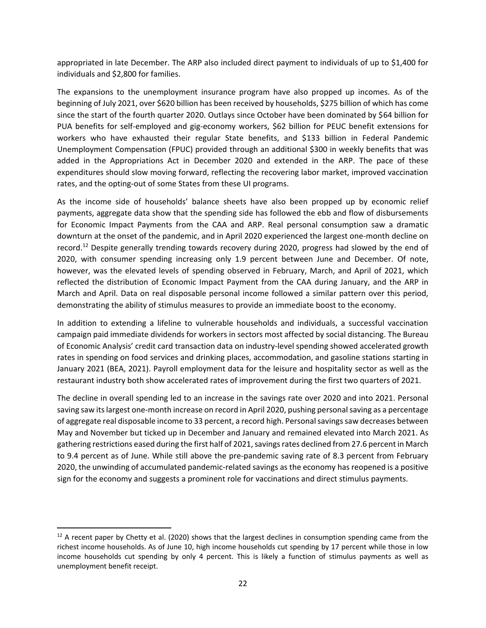appropriated in late December. The ARP also included direct payment to individuals of up to \$1,400 for individuals and \$2,800 for families.

The expansions to the unemployment insurance program have also propped up incomes. As of the beginning of July 2021, over \$620 billion has been received by households, \$275 billion of which has come since the start of the fourth quarter 2020. Outlays since October have been dominated by \$64 billion for PUA benefits for self-employed and gig-economy workers, \$62 billion for PEUC benefit extensions for workers who have exhausted their regular State benefits, and \$133 billion in Federal Pandemic Unemployment Compensation (FPUC) provided through an additional \$300 in weekly benefits that was added in the Appropriations Act in December 2020 and extended in the ARP. The pace of these expenditures should slow moving forward, reflecting the recovering labor market, improved vaccination rates, and the opting-out of some States from these UI programs.

As the income side of households' balance sheets have also been propped up by economic relief payments, aggregate data show that the spending side has followed the ebb and flow of disbursements for Economic Impact Payments from the CAA and ARP. Real personal consumption saw a dramatic downturn at the onset of the pandemic, and in April 2020 experienced the largest one-month decline on record.<sup>12</sup> Despite generally trending towards recovery during 2020, progress had slowed by the end of 2020, with consumer spending increasing only 1.9 percent between June and December. Of note, however, was the elevated levels of spending observed in February, March, and April of 2021, which reflected the distribution of Economic Impact Payment from the CAA during January, and the ARP in March and April. Data on real disposable personal income followed a similar pattern over this period, demonstrating the ability of stimulus measures to provide an immediate boost to the economy.

In addition to extending a lifeline to vulnerable households and individuals, a successful vaccination campaign paid immediate dividends for workers in sectors most affected by social distancing. The Bureau of Economic Analysis' credit card transaction data on industry-level spending showed accelerated growth rates in spending on food services and drinking places, accommodation, and gasoline stations starting in January 2021 (BEA, 2021). Payroll employment data for the leisure and hospitality sector as well as the restaurant industry both show accelerated rates of improvement during the first two quarters of 2021.

The decline in overall spending led to an increase in the savings rate over 2020 and into 2021. Personal saving saw its largest one-month increase on record in April 2020, pushing personal saving as a percentage of aggregate real disposable income to 33 percent, a record high. Personal savings saw decreases between May and November but ticked up in December and January and remained elevated into March 2021. As gathering restrictions eased during the first half of 2021, savingsrates declined from 27.6 percent in March to 9.4 percent as of June. While still above the pre-pandemic saving rate of 8.3 percent from February 2020, the unwinding of accumulated pandemic-related savings as the economy has reopened is a positive sign for the economy and suggests a prominent role for vaccinations and direct stimulus payments.

 $\overline{\phantom{a}}$ 

 $12$  A recent paper by Chetty et al. (2020) shows that the largest declines in consumption spending came from the richest income households. As of June 10, high income households cut spending by 17 percent while those in low income households cut spending by only 4 percent. This is likely a function of stimulus payments as well as unemployment benefit receipt.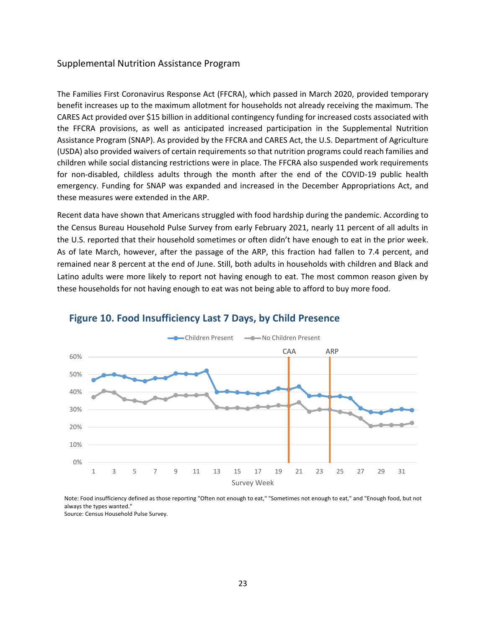#### <span id="page-22-0"></span>Supplemental Nutrition Assistance Program

The Families First Coronavirus Response Act (FFCRA), which passed in March 2020, provided temporary benefit increases up to the maximum allotment for households not already receiving the maximum. The CARES Act provided over \$15 billion in additional contingency funding for increased costs associated with the FFCRA provisions, as well as anticipated increased participation in the Supplemental Nutrition Assistance Program (SNAP). As provided by the FFCRA and CARES Act, the U.S. Department of Agriculture (USDA) also provided waivers of certain requirements so that nutrition programs could reach families and children while social distancing restrictions were in place. The FFCRA also suspended work requirements for non-disabled, childless adults through the month after the end of the COVID-19 public health emergency. Funding for SNAP was expanded and increased in the December Appropriations Act, and these measures were extended in the ARP.

Recent data have shown that Americans struggled with food hardship during the pandemic. According to the Census Bureau Household Pulse Survey from early February 2021, nearly 11 percent of all adults in the U.S. reported that their household sometimes or often didn't have enough to eat in the prior week. As of late March, however, after the passage of the ARP, this fraction had fallen to 7.4 percent, and remained near 8 percent at the end of June. Still, both adults in households with children and Black and Latino adults were more likely to report not having enough to eat. The most common reason given by these households for not having enough to eat was not being able to afford to buy more food.



### **Figure 10. Food Insufficiency Last 7 Days, by Child Presence**

Note: Food insufficiency defined as those reporting "Often not enough to eat," "Sometimes not enough to eat," and "Enough food, but not always the types wanted." Source: Census Household Pulse Survey.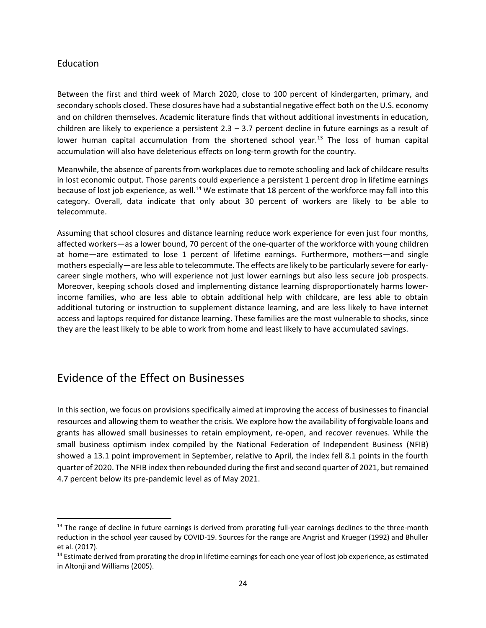### <span id="page-23-0"></span>Education

 $\overline{\phantom{a}}$ 

Between the first and third week of March 2020, close to 100 percent of kindergarten, primary, and secondary schools closed. These closures have had a substantial negative effect both on the U.S. economy and on children themselves. Academic literature finds that without additional investments in education, children are likely to experience a persistent  $2.3 - 3.7$  percent decline in future earnings as a result of lower human capital accumulation from the shortened school year.<sup>13</sup> The loss of human capital accumulation will also have deleterious effects on long-term growth for the country.

Meanwhile, the absence of parentsfrom workplaces due to remote schooling and lack of childcare results in lost economic output. Those parents could experience a persistent 1 percent drop in lifetime earnings because of lost job experience, as well.<sup>14</sup> We estimate that 18 percent of the workforce may fall into this category. Overall, data indicate that only about 30 percent of workers are likely to be able to telecommute.

Assuming that school closures and distance learning reduce work experience for even just four months, affected workers—as a lower bound, 70 percent of the one-quarter of the workforce with young children at home—are estimated to lose 1 percent of lifetime earnings. Furthermore, mothers—and single mothers especially—are less able to telecommute. The effects are likely to be particularly severe for earlycareer single mothers, who will experience not just lower earnings but also less secure job prospects. Moreover, keeping schools closed and implementing distance learning disproportionately harms lowerincome families, who are less able to obtain additional help with childcare, are less able to obtain additional tutoring or instruction to supplement distance learning, and are less likely to have internet access and laptops required for distance learning. These families are the most vulnerable to shocks, since they are the least likely to be able to work from home and least likely to have accumulated savings.

# <span id="page-23-1"></span>Evidence of the Effect on Businesses

In this section, we focus on provisions specifically aimed at improving the access of businesses to financial resources and allowing them to weather the crisis. We explore how the availability of forgivable loans and grants has allowed small businesses to retain employment, re-open, and recover revenues. While the small business optimism index compiled by the National Federation of Independent Business (NFIB) showed a 13.1 point improvement in September, relative to April, the index fell 8.1 points in the fourth quarter of 2020. The NFIB index then rebounded during the first and second quarter of 2021, but remained 4.7 percent below its pre-pandemic level as of May 2021.

<sup>&</sup>lt;sup>13</sup> The range of decline in future earnings is derived from prorating full-year earnings declines to the three-month reduction in the school year caused by COVID-19. Sources for the range are Angrist and Krueger (1992) and Bhuller et al. (2017).

<sup>&</sup>lt;sup>14</sup> Estimate derived from prorating the drop in lifetime earnings for each one year of lost job experience, as estimated in Altonji and Williams (2005).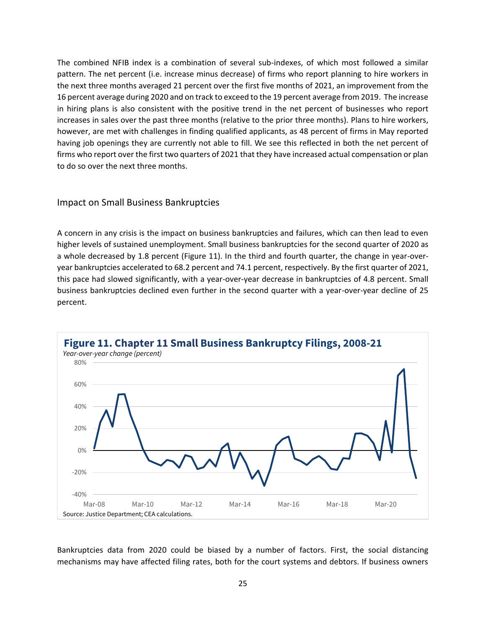The combined NFIB index is a combination of several sub-indexes, of which most followed a similar pattern. The net percent (i.e. increase minus decrease) of firms who report planning to hire workers in the next three months averaged 21 percent over the first five months of 2021, an improvement from the 16 percent average during 2020 and on track to exceed to the 19 percent average from 2019. The increase in hiring plans is also consistent with the positive trend in the net percent of businesses who report increases in sales over the past three months (relative to the prior three months). Plans to hire workers, however, are met with challenges in finding qualified applicants, as 48 percent of firms in May reported having job openings they are currently not able to fill. We see this reflected in both the net percent of firms who report over the first two quarters of 2021 that they have increased actual compensation or plan to do so over the next three months.

#### <span id="page-24-0"></span>Impact on Small Business Bankruptcies

A concern in any crisis is the impact on business bankruptcies and failures, which can then lead to even higher levels of sustained unemployment. Small business bankruptcies for the second quarter of 2020 as a whole decreased by 1.8 percent (Figure 11). In the third and fourth quarter, the change in year-overyear bankruptcies accelerated to 68.2 percent and 74.1 percent, respectively. By the first quarter of 2021, this pace had slowed significantly, with a year-over-year decrease in bankruptcies of 4.8 percent. Small business bankruptcies declined even further in the second quarter with a year-over-year decline of 25 percent.



Bankruptcies data from 2020 could be biased by a number of factors. First, the social distancing mechanisms may have affected filing rates, both for the court systems and debtors. If business owners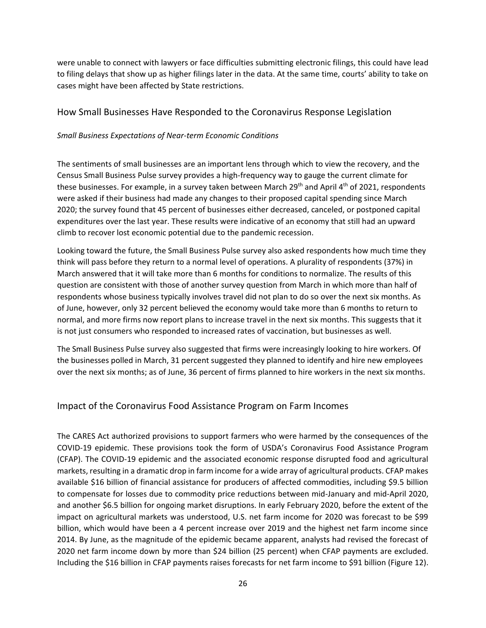were unable to connect with lawyers or face difficulties submitting electronic filings, this could have lead to filing delays that show up as higher filings later in the data. At the same time, courts' ability to take on cases might have been affected by State restrictions.

### <span id="page-25-0"></span>How Small Businesses Have Responded to the Coronavirus Response Legislation

#### *Small Business Expectations of Near-term Economic Conditions*

The sentiments of small businesses are an important lens through which to view the recovery, and the Census Small Business Pulse survey provides a high-frequency way to gauge the current climate for these businesses. For example, in a survey taken between March  $29<sup>th</sup>$  and April 4<sup>th</sup> of 2021, respondents were asked if their business had made any changes to their proposed capital spending since March 2020; the survey found that 45 percent of businesses either decreased, canceled, or postponed capital expenditures over the last year. These results were indicative of an economy that still had an upward climb to recover lost economic potential due to the pandemic recession.

Looking toward the future, the Small Business Pulse survey also asked respondents how much time they think will pass before they return to a normal level of operations. A plurality of respondents (37%) in March answered that it will take more than 6 months for conditions to normalize. The results of this question are consistent with those of another survey question from March in which more than half of respondents whose business typically involves travel did not plan to do so over the next six months. As of June, however, only 32 percent believed the economy would take more than 6 months to return to normal, and more firms now report plans to increase travel in the next six months. This suggests that it is not just consumers who responded to increased rates of vaccination, but businesses as well.

The Small Business Pulse survey also suggested that firms were increasingly looking to hire workers. Of the businesses polled in March, 31 percent suggested they planned to identify and hire new employees over the next six months; as of June, 36 percent of firms planned to hire workers in the next six months.

### <span id="page-25-1"></span>Impact of the Coronavirus Food Assistance Program on Farm Incomes

The CARES Act authorized provisions to support farmers who were harmed by the consequences of the COVID-19 epidemic. These provisions took the form of USDA's Coronavirus Food Assistance Program (CFAP). The COVID-19 epidemic and the associated economic response disrupted food and agricultural markets, resulting in a dramatic drop in farm income for a wide array of agricultural products. CFAP makes available \$16 billion of financial assistance for producers of affected commodities, including \$9.5 billion to compensate for losses due to commodity price reductions between mid-January and mid-April 2020, and another \$6.5 billion for ongoing market disruptions. In early February 2020, before the extent of the impact on agricultural markets was understood, U.S. net farm income for 2020 was forecast to be \$99 billion, which would have been a 4 percent increase over 2019 and the highest net farm income since 2014. By June, as the magnitude of the epidemic became apparent, analysts had revised the forecast of 2020 net farm income down by more than \$24 billion (25 percent) when CFAP payments are excluded. Including the \$16 billion in CFAP payments raises forecasts for net farm income to \$91 billion (Figure 12).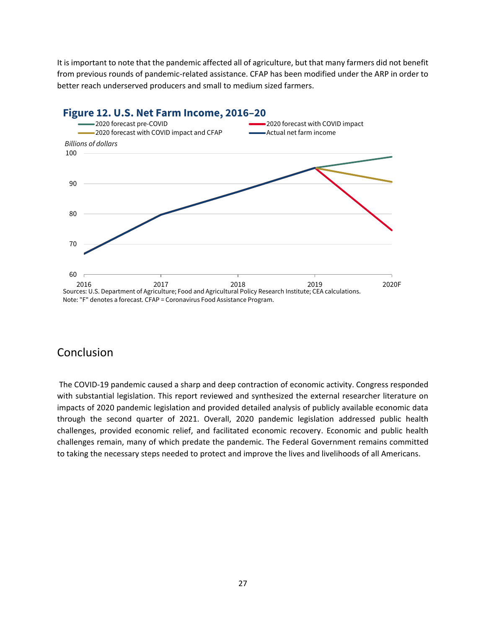It is important to note that the pandemic affected all of agriculture, but that many farmers did not benefit from previous rounds of pandemic-related assistance. CFAP has been modified under the ARP in order to better reach underserved producers and small to medium sized farmers.



# <span id="page-26-0"></span>Conclusion

The COVID-19 pandemic caused a sharp and deep contraction of economic activity. Congress responded with substantial legislation. This report reviewed and synthesized the external researcher literature on impacts of 2020 pandemic legislation and provided detailed analysis of publicly available economic data through the second quarter of 2021. Overall, 2020 pandemic legislation addressed public health challenges, provided economic relief, and facilitated economic recovery. Economic and public health challenges remain, many of which predate the pandemic. The Federal Government remains committed to taking the necessary steps needed to protect and improve the lives and livelihoods of all Americans.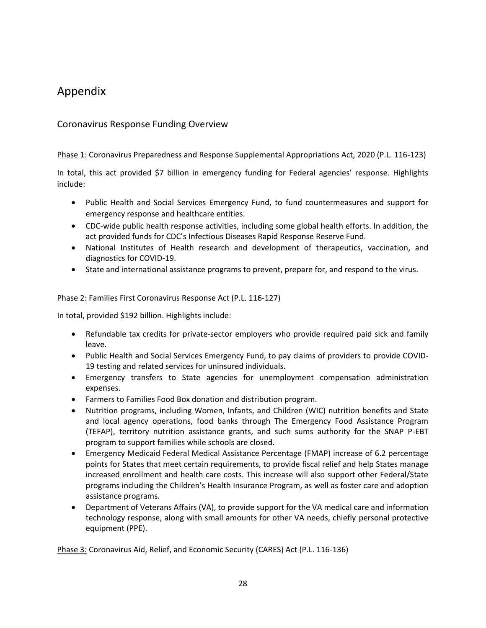# <span id="page-27-0"></span>Appendix

### <span id="page-27-1"></span>Coronavirus Response Funding Overview

Phase 1: Coronavirus Preparedness and Response Supplemental Appropriations Act, 2020 (P.L. 116-123)

In total, this act provided \$7 billion in emergency funding for Federal agencies' response. Highlights include:

- Public Health and Social Services Emergency Fund, to fund countermeasures and support for emergency response and healthcare entities.
- CDC-wide public health response activities, including some global health efforts. In addition, the act provided funds for CDC's Infectious Diseases Rapid Response Reserve Fund.
- National Institutes of Health research and development of therapeutics, vaccination, and diagnostics for COVID-19.
- State and international assistance programs to prevent, prepare for, and respond to the virus.

#### Phase 2: Families First Coronavirus Response Act (P.L. 116-127)

In total, provided \$192 billion. Highlights include:

- Refundable tax credits for private-sector employers who provide required paid sick and family leave.
- Public Health and Social Services Emergency Fund, to pay claims of providers to provide COVID-19 testing and related services for uninsured individuals.
- Emergency transfers to State agencies for unemployment compensation administration expenses.
- Farmers to Families Food Box donation and distribution program.
- Nutrition programs, including Women, Infants, and Children (WIC) nutrition benefits and State and local agency operations, food banks through The Emergency Food Assistance Program (TEFAP), territory nutrition assistance grants, and such sums authority for the SNAP P-EBT program to support families while schools are closed.
- Emergency Medicaid Federal Medical Assistance Percentage (FMAP) increase of 6.2 percentage points for States that meet certain requirements, to provide fiscal relief and help States manage increased enrollment and health care costs. This increase will also support other Federal/State programs including the Children's Health Insurance Program, as well as foster care and adoption assistance programs.
- Department of Veterans Affairs (VA), to provide support for the VA medical care and information technology response, along with small amounts for other VA needs, chiefly personal protective equipment (PPE).

Phase 3: Coronavirus Aid, Relief, and Economic Security (CARES) Act (P.L. 116-136)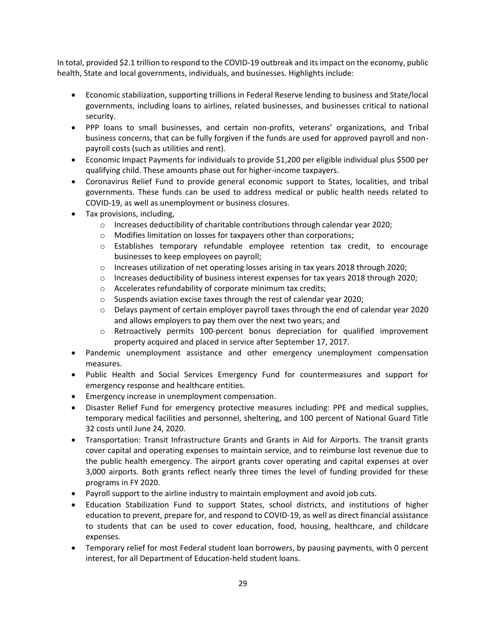In total, provided \$2.1 trillion to respond to the COVID-19 outbreak and its impact on the economy, public health, State and local governments, individuals, and businesses. Highlights include:

- Economic stabilization, supporting trillions in Federal Reserve lending to business and State/local governments, including loans to airlines, related businesses, and businesses critical to national security.
- PPP loans to small businesses, and certain non-profits, veterans' organizations, and Tribal business concerns, that can be fully forgiven if the funds are used for approved payroll and nonpayroll costs (such as utilities and rent).
- Economic Impact Payments for individuals to provide \$1,200 per eligible individual plus \$500 per qualifying child. These amounts phase out for higher-income taxpayers.
- Coronavirus Relief Fund to provide general economic support to States, localities, and tribal governments. These funds can be used to address medical or public health needs related to COVID-19, as well as unemployment or business closures.
- Tax provisions, including,
	- o Increases deductibility of charitable contributions through calendar year 2020;
	- o Modifies limitation on losses for taxpayers other than corporations;
	- o Establishes temporary refundable employee retention tax credit, to encourage businesses to keep employees on payroll;
	- $\circ$  Increases utilization of net operating losses arising in tax years 2018 through 2020;
	- $\circ$  Increases deductibility of business interest expenses for tax years 2018 through 2020;
	- o Accelerates refundability of corporate minimum tax credits;
	- $\circ$  Suspends aviation excise taxes through the rest of calendar year 2020;
	- $\circ$  Delays payment of certain employer payroll taxes through the end of calendar year 2020 and allows employers to pay them over the next two years; and
	- o Retroactively permits 100-percent bonus depreciation for qualified improvement property acquired and placed in service after September 17, 2017.
- Pandemic unemployment assistance and other emergency unemployment compensation measures.
- Public Health and Social Services Emergency Fund for countermeasures and support for emergency response and healthcare entities.
- Emergency increase in unemployment compensation.
- Disaster Relief Fund for emergency protective measures including: PPE and medical supplies, temporary medical facilities and personnel, sheltering, and 100 percent of National Guard Title 32 costs until June 24, 2020.
- Transportation: Transit Infrastructure Grants and Grants in Aid for Airports. The transit grants cover capital and operating expenses to maintain service, and to reimburse lost revenue due to the public health emergency. The airport grants cover operating and capital expenses at over 3,000 airports. Both grants reflect nearly three times the level of funding provided for these programs in FY 2020.
- Payroll support to the airline industry to maintain employment and avoid job cuts.
- Education Stabilization Fund to support States, school districts, and institutions of higher education to prevent, prepare for, and respond to COVID-19, as well as direct financial assistance to students that can be used to cover education, food, housing, healthcare, and childcare expenses.
- Temporary relief for most Federal student loan borrowers, by pausing payments, with 0 percent interest, for all Department of Education-held student loans.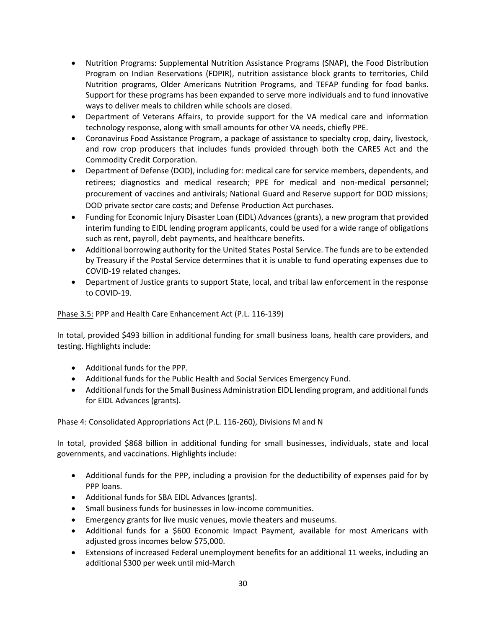- Nutrition Programs: Supplemental Nutrition Assistance Programs (SNAP), the Food Distribution Program on Indian Reservations (FDPIR), nutrition assistance block grants to territories, Child Nutrition programs, Older Americans Nutrition Programs, and TEFAP funding for food banks. Support for these programs has been expanded to serve more individuals and to fund innovative ways to deliver meals to children while schools are closed.
- Department of Veterans Affairs, to provide support for the VA medical care and information technology response, along with small amounts for other VA needs, chiefly PPE.
- Coronavirus Food Assistance Program, a package of assistance to specialty crop, dairy, livestock, and row crop producers that includes funds provided through both the CARES Act and the Commodity Credit Corporation.
- Department of Defense (DOD), including for: medical care for service members, dependents, and retirees; diagnostics and medical research; PPE for medical and non-medical personnel; procurement of vaccines and antivirals; National Guard and Reserve support for DOD missions; DOD private sector care costs; and Defense Production Act purchases.
- Funding for Economic Injury Disaster Loan (EIDL) Advances (grants), a new program that provided interim funding to EIDL lending program applicants, could be used for a wide range of obligations such as rent, payroll, debt payments, and healthcare benefits.
- Additional borrowing authority for the United States Postal Service. The funds are to be extended by Treasury if the Postal Service determines that it is unable to fund operating expenses due to COVID-19 related changes.
- Department of Justice grants to support State, local, and tribal law enforcement in the response to COVID-19.

### Phase 3.5: PPP and Health Care Enhancement Act (P.L. 116-139)

In total, provided \$493 billion in additional funding for small business loans, health care providers, and testing. Highlights include:

- Additional funds for the PPP.
- Additional funds for the Public Health and Social Services Emergency Fund.
- Additional funds for the Small Business Administration EIDL lending program, and additional funds for EIDL Advances (grants).

### Phase 4: Consolidated Appropriations Act (P.L. 116-260), Divisions M and N

In total, provided \$868 billion in additional funding for small businesses, individuals, state and local governments, and vaccinations. Highlights include:

- Additional funds for the PPP, including a provision for the deductibility of expenses paid for by PPP loans.
- Additional funds for SBA EIDL Advances (grants).
- Small business funds for businesses in low-income communities.
- Emergency grants for live music venues, movie theaters and museums.
- Additional funds for a \$600 Economic Impact Payment, available for most Americans with adjusted gross incomes below \$75,000.
- Extensions of increased Federal unemployment benefits for an additional 11 weeks, including an additional \$300 per week until mid-March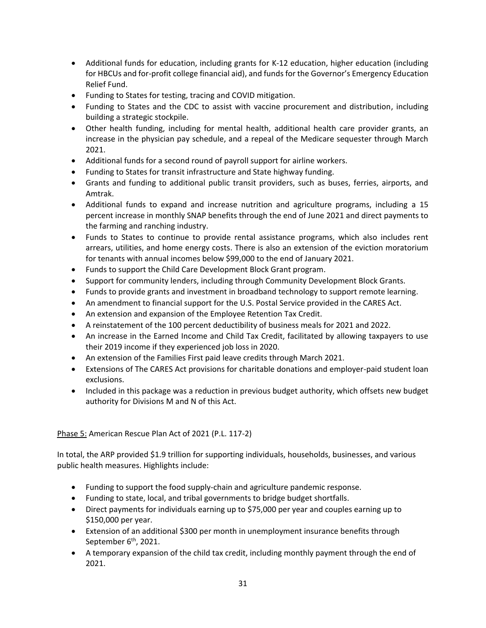- Additional funds for education, including grants for K-12 education, higher education (including for HBCUs and for-profit college financial aid), and funds for the Governor's Emergency Education Relief Fund.
- Funding to States for testing, tracing and COVID mitigation.
- Funding to States and the CDC to assist with vaccine procurement and distribution, including building a strategic stockpile.
- Other health funding, including for mental health, additional health care provider grants, an increase in the physician pay schedule, and a repeal of the Medicare sequester through March 2021.
- Additional funds for a second round of payroll support for airline workers.
- Funding to States for transit infrastructure and State highway funding.
- Grants and funding to additional public transit providers, such as buses, ferries, airports, and Amtrak.
- Additional funds to expand and increase nutrition and agriculture programs, including a 15 percent increase in monthly SNAP benefits through the end of June 2021 and direct payments to the farming and ranching industry.
- Funds to States to continue to provide rental assistance programs, which also includes rent arrears, utilities, and home energy costs. There is also an extension of the eviction moratorium for tenants with annual incomes below \$99,000 to the end of January 2021.
- Funds to support the Child Care Development Block Grant program.
- Support for community lenders, including through Community Development Block Grants.
- Funds to provide grants and investment in broadband technology to support remote learning.
- An amendment to financial support for the U.S. Postal Service provided in the CARES Act.
- An extension and expansion of the Employee Retention Tax Credit.
- A reinstatement of the 100 percent deductibility of business meals for 2021 and 2022.
- An increase in the Earned Income and Child Tax Credit, facilitated by allowing taxpayers to use their 2019 income if they experienced job loss in 2020.
- An extension of the Families First paid leave credits through March 2021.
- Extensions of The CARES Act provisions for charitable donations and employer-paid student loan exclusions.
- Included in this package was a reduction in previous budget authority, which offsets new budget authority for Divisions M and N of this Act.

### Phase 5: American Rescue Plan Act of 2021 (P.L. 117-2)

In total, the ARP provided \$1.9 trillion for supporting individuals, households, businesses, and various public health measures. Highlights include:

- Funding to support the food supply-chain and agriculture pandemic response.
- Funding to state, local, and tribal governments to bridge budget shortfalls.
- Direct payments for individuals earning up to \$75,000 per year and couples earning up to \$150,000 per year.
- Extension of an additional \$300 per month in unemployment insurance benefits through September 6<sup>th</sup>, 2021.
- A temporary expansion of the child tax credit, including monthly payment through the end of 2021.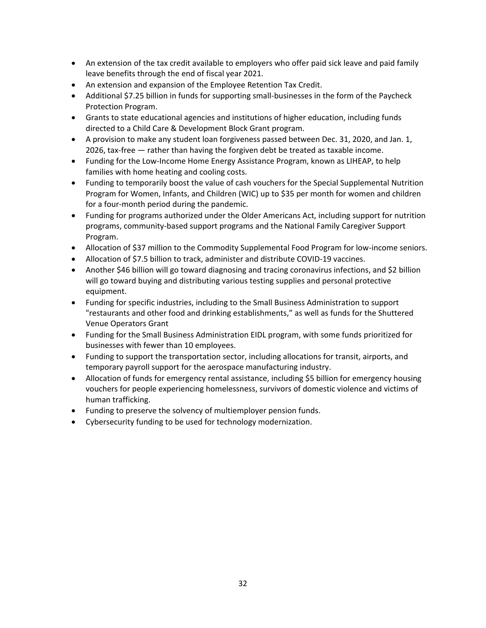- An extension of the tax credit available to employers who offer paid sick leave and paid family leave benefits through the end of fiscal year 2021.
- An extension and expansion of the Employee Retention Tax Credit.
- Additional \$7.25 billion in funds for supporting small-businesses in the form of the Paycheck Protection Program.
- Grants to state educational agencies and institutions of higher education, including funds directed to a Child Care & Development Block Grant program.
- A provision to make any student loan forgiveness passed between Dec. 31, 2020, and Jan. 1, 2026, tax-free — rather than having the forgiven debt be treated as taxable income.
- Funding for the Low-Income Home Energy Assistance Program, known as LIHEAP, to help families with home heating and cooling costs.
- Funding to temporarily boost the value of cash vouchers for the Special Supplemental Nutrition Program for Women, Infants, and Children (WIC) up to \$35 per month for women and children for a four-month period during the pandemic.
- Funding for programs authorized under the Older Americans Act, including support for nutrition programs, community-based support programs and the National Family Caregiver Support Program.
- Allocation of \$37 million to the Commodity Supplemental Food Program for low-income seniors.
- Allocation of \$7.5 billion to track, administer and distribute COVID-19 vaccines.
- Another \$46 billion will go toward diagnosing and tracing coronavirus infections, and \$2 billion will go toward buying and distributing various testing supplies and personal protective equipment.
- Funding for specific industries, including to the Small Business Administration to support "restaurants and other food and drinking establishments," as well as funds for the Shuttered Venue Operators Grant
- Funding for the Small Business Administration EIDL program, with some funds prioritized for businesses with fewer than 10 employees.
- Funding to support the transportation sector, including allocations for transit, airports, and temporary payroll support for the aerospace manufacturing industry.
- Allocation of funds for emergency rental assistance, including \$5 billion for emergency housing vouchers for people experiencing homelessness, survivors of domestic violence and victims of human trafficking.
- Funding to preserve the solvency of multiemployer pension funds.
- Cybersecurity funding to be used for technology modernization.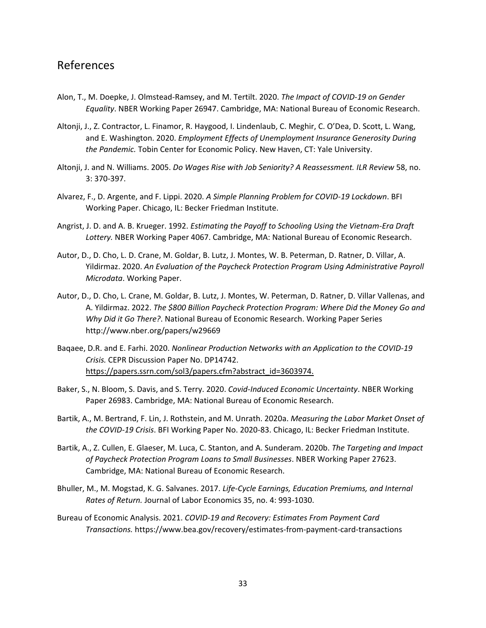# <span id="page-32-0"></span>References

- Alon, T., M. Doepke, J. Olmstead-Ramsey, and M. Tertilt. 2020. *The Impact of COVID-19 on Gender Equality*. NBER Working Paper 26947. Cambridge, MA: National Bureau of Economic Research.
- Altonji, J., Z. Contractor, L. Finamor, R. Haygood, I. Lindenlaub, C. Meghir, C. O'Dea, D. Scott, L. Wang, and E. Washington. 2020. *Employment Effects of Unemployment Insurance Generosity During the Pandemic.* Tobin Center for Economic Policy. New Haven, CT: Yale University.
- Altonji, J. and N. Williams. 2005. *Do Wages Rise with Job Seniority? A Reassessment. ILR Review* 58, no. 3: 370-397.
- Alvarez, F., D. Argente, and F. Lippi. 2020. *A Simple Planning Problem for COVID-19 Lockdown*. BFI Working Paper. Chicago, IL: Becker Friedman Institute.
- Angrist, J. D. and A. B. Krueger. 1992. *Estimating the Payoff to Schooling Using the Vietnam-Era Draft Lottery.* NBER Working Paper 4067. Cambridge, MA: National Bureau of Economic Research.
- Autor, D., D. Cho, L. D. Crane, M. Goldar, B. Lutz, J. Montes, W. B. Peterman, D. Ratner, D. Villar, A. Yildirmaz. 2020. *An Evaluation of the Paycheck Protection Program Using Administrative Payroll Microdata*. Working Paper.
- Autor, D., D. Cho, L. Crane, M. Goldar, B. Lutz, J. Montes, W. Peterman, D. Ratner, D. Villar Vallenas, and A. Yildirmaz. 2022. *The \$800 Billion Paycheck Protection Program: Where Did the Money Go and Why Did it Go There?*. National Bureau of Economic Research. Working Paper Series http://www.nber.org/papers/w29669
- Baqaee, D.R. and E. Farhi. 2020. *Nonlinear Production Networks with an Application to the COVID-19 Crisis.* CEPR Discussion Paper No. DP14742. [https://papers.ssrn.com/sol3/papers.cfm?abstract\\_id=3603974.](https://papers.ssrn.com/sol3/papers.cfm?abstract_id=3603974)
- Baker, S., N. Bloom, S. Davis, and S. Terry. 2020. *Covid-Induced Economic Uncertainty*. NBER Working Paper 26983. Cambridge, MA: National Bureau of Economic Research.
- Bartik, A., M. Bertrand, F. Lin, J. Rothstein, and M. Unrath. 2020a. *Measuring the Labor Market Onset of the COVID-19 Crisis*. BFI Working Paper No. 2020-83. Chicago, IL: Becker Friedman Institute.
- Bartik, A., Z. Cullen, E. Glaeser, M. Luca, C. Stanton, and A. Sunderam. 2020b. *The Targeting and Impact of Paycheck Protection Program Loans to Small Businesses*. NBER Working Paper 27623. Cambridge, MA: National Bureau of Economic Research.
- Bhuller, M., M. Mogstad, K. G. Salvanes. 2017. *Life-Cycle Earnings, Education Premiums, and Internal Rates of Return.* Journal of Labor Economics 35, no. 4: 993-1030.
- Bureau of Economic Analysis. 2021. *COVID-19 and Recovery: Estimates From Payment Card Transactions.* https://www.bea.gov/recovery/estimates-from-payment-card-transactions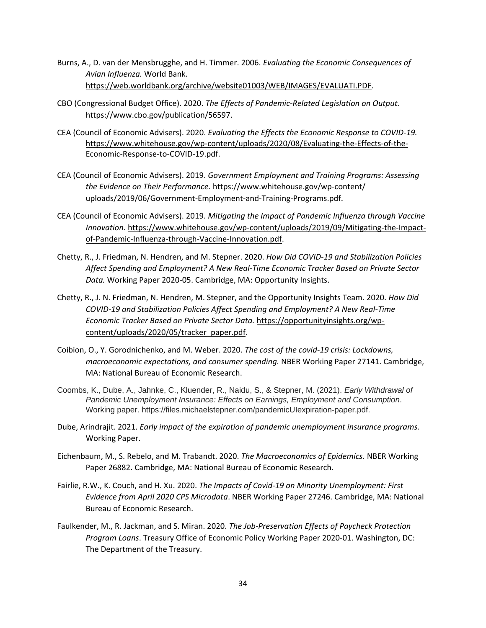- Burns, A., D. van der Mensbrugghe, and H. Timmer. 2006. *Evaluating the Economic Consequences of Avian Influenza.* World Bank. [https://web.worldbank.org/archive/website01003/WEB/IMAGES/EVALUATI.PDF.](https://web.worldbank.org/archive/website01003/WEB/IMAGES/EVALUATI.PDF)
- CBO (Congressional Budget Office). 2020. *The Effects of Pandemic-Related Legislation on Output.* https://www.cbo.gov/publication/56597.
- CEA (Council of Economic Advisers). 2020. *Evaluating the Effects the Economic Response to COVID-19.* [https://www.whitehouse.gov/wp-content/uploads/2020/08/Evaluating-the-Effects-of-the-](https://www.whitehouse.gov/wp-content/uploads/2020/08/Evaluating-the-Effects-of-the-Economic-Response-to-COVID-19.pdf)[Economic-Response-to-COVID-19.pdf.](https://www.whitehouse.gov/wp-content/uploads/2020/08/Evaluating-the-Effects-of-the-Economic-Response-to-COVID-19.pdf)
- CEA (Council of Economic Advisers). 2019. *Government Employment and Training Programs: Assessing the Evidence on Their Performance.* https://www.whitehouse.gov/wp-content/ uploads/2019/06/Government-Employment-and-Training-Programs.pdf.
- CEA (Council of Economic Advisers). 2019. *Mitigating the Impact of Pandemic Influenza through Vaccine Innovation.* [https://www.whitehouse.gov/wp-content/uploads/2019/09/Mitigating-the-Impact](https://www.whitehouse.gov/wp-content/uploads/2019/09/Mitigating-the-Impact-of-Pandemic-Influenza-through-Vaccine-Innovation.pdf)[of-Pandemic-Influenza-through-Vaccine-Innovation.pdf.](https://www.whitehouse.gov/wp-content/uploads/2019/09/Mitigating-the-Impact-of-Pandemic-Influenza-through-Vaccine-Innovation.pdf)
- Chetty, R., J. Friedman, N. Hendren, and M. Stepner. 2020. *How Did COVID-19 and Stabilization Policies Affect Spending and Employment? A New Real-Time Economic Tracker Based on Private Sector Data.* Working Paper 2020-05. Cambridge, MA: Opportunity Insights.
- Chetty, R., J. N. Friedman, N. Hendren, M. Stepner, and the Opportunity Insights Team. 2020. *How Did COVID-19 and Stabilization Policies Affect Spending and Employment? A New Real-Time Economic Tracker Based on Private Sector Data.* [https://opportunityinsights.org/wp](https://opportunityinsights.org/wp-content/uploads/2020/05/tracker_paper.pdf)[content/uploads/2020/05/tracker\\_paper.pdf.](https://opportunityinsights.org/wp-content/uploads/2020/05/tracker_paper.pdf)
- Coibion, O., Y. Gorodnichenko, and M. Weber. 2020. *The cost of the covid-19 crisis: Lockdowns, macroeconomic expectations, and consumer spending.* NBER Working Paper 27141. Cambridge, MA: National Bureau of Economic Research.
- Coombs, K., Dube, A., Jahnke, C., Kluender, R., Naidu, S., & Stepner, M. (2021). *Early Withdrawal of Pandemic Unemployment Insurance: Effects on Earnings, Employment and Consumption*. Working paper. https://files.michaelstepner.com/pandemicUIexpiration-paper.pdf.
- Dube, Arindrajit. 2021. *Early impact of the expiration of pandemic unemployment insurance programs.* Working Paper.
- Eichenbaum, M., S. Rebelo, and M. Trabandt. 2020. *The Macroeconomics of Epidemics.* NBER Working Paper 26882. Cambridge, MA: National Bureau of Economic Research.
- Fairlie, R.W., K. Couch, and H. Xu. 2020. *The Impacts of Covid-19 on Minority Unemployment: First Evidence from April 2020 CPS Microdata*. NBER Working Paper 27246. Cambridge, MA: National Bureau of Economic Research.
- Faulkender, M., R. Jackman, and S. Miran. 2020. *The Job-Preservation Effects of Paycheck Protection Program Loans*. Treasury Office of Economic Policy Working Paper 2020-01. Washington, DC: The Department of the Treasury.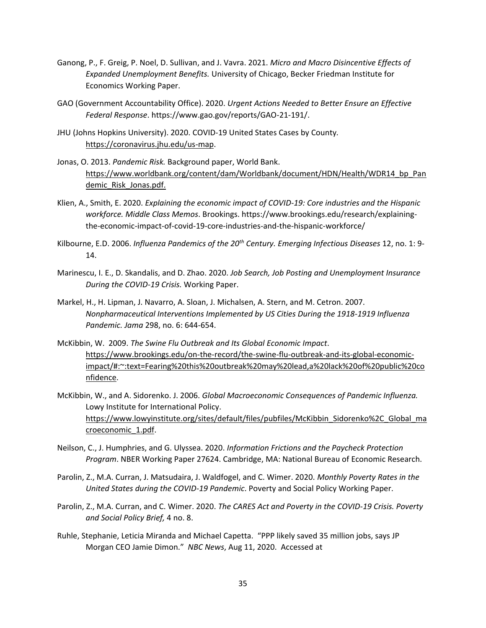- Ganong, P., F. Greig, P. Noel, D. Sullivan, and J. Vavra. 2021. *Micro and Macro Disincentive Effects of Expanded Unemployment Benefits.* University of Chicago, Becker Friedman Institute for Economics Working Paper.
- GAO (Government Accountability Office). 2020. *Urgent Actions Needed to Better Ensure an Effective Federal Response*. https://www.gao.gov/reports/GAO-21-191/.
- JHU (Johns Hopkins University). 2020. COVID-19 United States Cases by County*.* [https://coronavirus.jhu.edu/us-map.](https://coronavirus.jhu.edu/us-map)
- Jonas, O. 2013. *Pandemic Risk.* Background paper, World Bank. [https://www.worldbank.org/content/dam/Worldbank/document/HDN/Health/WDR14\\_bp\\_Pan](https://www.worldbank.org/content/dam/Worldbank/document/HDN/Health/WDR14_bp_Pandemic_Risk_Jonas.pdf) [demic\\_Risk\\_Jonas.pdf.](https://www.worldbank.org/content/dam/Worldbank/document/HDN/Health/WDR14_bp_Pandemic_Risk_Jonas.pdf)
- Klien, A., Smith, E. 2020. *Explaining the economic impact of COVID-19: Core industries and the Hispanic workforce. Middle Class Memos*. Brookings. https://www.brookings.edu/research/explainingthe-economic-impact-of-covid-19-core-industries-and-the-hispanic-workforce/
- Kilbourne, E.D. 2006. *Influenza Pandemics of the 20th Century. Emerging Infectious Diseases* 12, no. 1: 9- 14.
- Marinescu, I. E., D. Skandalis, and D. Zhao. 2020. *Job Search, Job Posting and Unemployment Insurance During the COVID-19 Crisis.* Working Paper.
- Markel, H., H. Lipman, J. Navarro, A. Sloan, J. Michalsen, A. Stern, and M. Cetron. 2007. *Nonpharmaceutical Interventions Implemented by US Cities During the 1918-1919 Influenza Pandemic. Jama* 298, no. 6: 644-654.
- McKibbin, W. 2009. *The Swine Flu Outbreak and Its Global Economic Impact*. [https://www.brookings.edu/on-the-record/the-swine-flu-outbreak-and-its-global-economic](https://www.brookings.edu/on-the-record/the-swine-flu-outbreak-and-its-global-economic-impact/#:~:text=Fearing%20this%20outbreak%20may%20lead,a%20lack%20of%20public%20confidence)[impact/#:~:text=Fearing%20this%20outbreak%20may%20lead,a%20lack%20of%20public%20co](https://www.brookings.edu/on-the-record/the-swine-flu-outbreak-and-its-global-economic-impact/#:~:text=Fearing%20this%20outbreak%20may%20lead,a%20lack%20of%20public%20confidence) [nfidence.](https://www.brookings.edu/on-the-record/the-swine-flu-outbreak-and-its-global-economic-impact/#:~:text=Fearing%20this%20outbreak%20may%20lead,a%20lack%20of%20public%20confidence)
- McKibbin, W., and A. Sidorenko. J. 2006. *Global Macroeconomic Consequences of Pandemic Influenza.* Lowy Institute for International Policy. [https://www.lowyinstitute.org/sites/default/files/pubfiles/McKibbin\\_Sidorenko%2C\\_Global\\_ma](https://www.lowyinstitute.org/sites/default/files/pubfiles/McKibbin_Sidorenko%2C_Global_macroeconomic_1.pdf) [croeconomic\\_1.pdf.](https://www.lowyinstitute.org/sites/default/files/pubfiles/McKibbin_Sidorenko%2C_Global_macroeconomic_1.pdf)
- Neilson, C., J. Humphries, and G. Ulyssea. 2020. *Information Frictions and the Paycheck Protection Program*. NBER Working Paper 27624. Cambridge, MA: National Bureau of Economic Research.
- Parolin, Z., M.A. Curran, J. Matsudaira, J. Waldfogel, and C. Wimer. 2020. *Monthly Poverty Rates in the United States during the COVID-19 Pandemic*. Poverty and Social Policy Working Paper.
- Parolin, Z., M.A. Curran, and C. Wimer. 2020. *The CARES Act and Poverty in the COVID-19 Crisis. Poverty and Social Policy Brief,* 4 no. 8.
- Ruhle, Stephanie, Leticia Miranda and Michael Capetta. "PPP likely saved 35 million jobs, says JP Morgan CEO Jamie Dimon." *NBC News*, Aug 11, 2020. Accessed at